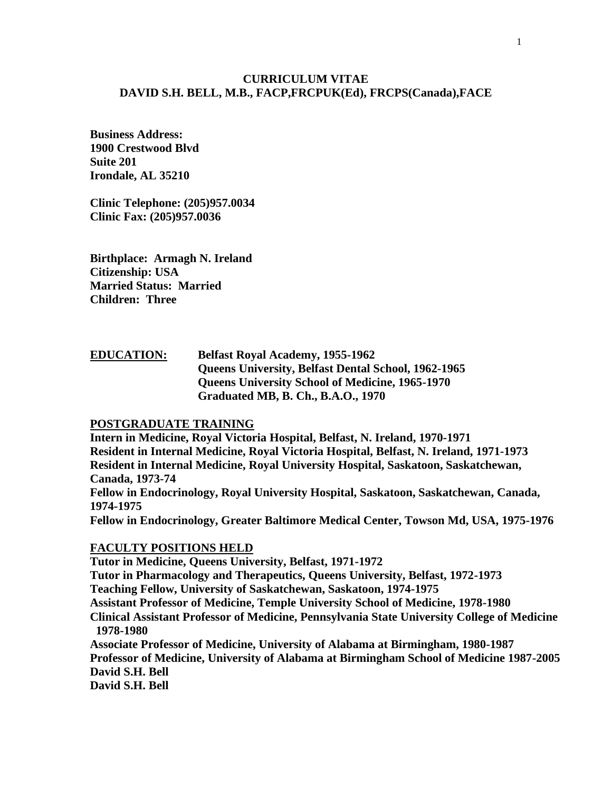### **CURRICULUM VITAE DAVID S.H. BELL, M.B., FACP,FRCPUK(Ed), FRCPS(Canada),FACE**

**Business Address: 1900 Crestwood Blvd Suite 201 Irondale, AL 35210**

**Clinic Telephone: (205)957.0034 Clinic Fax: (205)957.0036**

**Birthplace: Armagh N. Ireland Citizenship: USA Married Status: Married Children: Three**

# **EDUCATION: Belfast Royal Academy, 1955-1962 Queens University, Belfast Dental School, 1962-1965 Queens University School of Medicine, 1965-1970 Graduated MB, B. Ch., B.A.O., 1970**

#### **POSTGRADUATE TRAINING**

**Intern in Medicine, Royal Victoria Hospital, Belfast, N. Ireland, 1970-1971 Resident in Internal Medicine, Royal Victoria Hospital, Belfast, N. Ireland, 1971-1973 Resident in Internal Medicine, Royal University Hospital, Saskatoon, Saskatchewan, Canada, 1973-74 Fellow in Endocrinology, Royal University Hospital, Saskatoon, Saskatchewan, Canada, 1974-1975 Fellow in Endocrinology, Greater Baltimore Medical Center, Towson Md, USA, 1975-1976**

#### **FACULTY POSITIONS HELD**

**Tutor in Medicine, Queens University, Belfast, 1971-1972 Tutor in Pharmacology and Therapeutics, Queens University, Belfast, 1972-1973 Teaching Fellow, University of Saskatchewan, Saskatoon, 1974-1975 Assistant Professor of Medicine, Temple University School of Medicine, 1978-1980 Clinical Assistant Professor of Medicine, Pennsylvania State University College of Medicine 1978-1980 Associate Professor of Medicine, University of Alabama at Birmingham, 1980-1987 Professor of Medicine, University of Alabama at Birmingham School of Medicine 1987-2005 David S.H. Bell**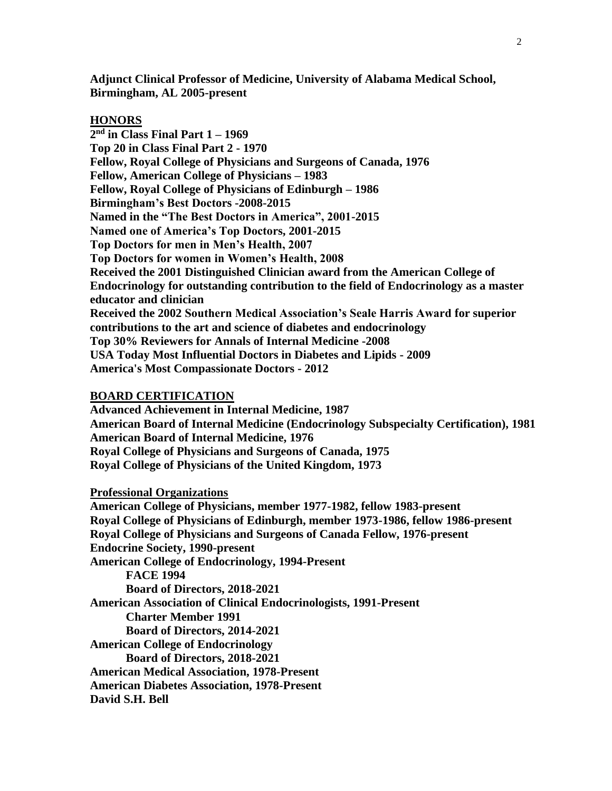**Adjunct Clinical Professor of Medicine, University of Alabama Medical School, Birmingham, AL 2005-present**

#### **HONORS**

**2 nd in Class Final Part 1 – 1969 Top 20 in Class Final Part 2 - 1970 Fellow, Royal College of Physicians and Surgeons of Canada, 1976 Fellow, American College of Physicians – 1983 Fellow, Royal College of Physicians of Edinburgh – 1986 Birmingham's Best Doctors -2008-2015 Named in the "The Best Doctors in America", 2001-2015 Named one of America's Top Doctors, 2001-2015 Top Doctors for men in Men's Health, 2007 Top Doctors for women in Women's Health, 2008 Received the 2001 Distinguished Clinician award from the American College of Endocrinology for outstanding contribution to the field of Endocrinology as a master educator and clinician Received the 2002 Southern Medical Association's Seale Harris Award for superior contributions to the art and science of diabetes and endocrinology Top 30% Reviewers for Annals of Internal Medicine -2008 USA Today Most Influential Doctors in Diabetes and Lipids - 2009 America's Most Compassionate Doctors - 2012**

#### **BOARD CERTIFICATION**

**Advanced Achievement in Internal Medicine, 1987 American Board of Internal Medicine (Endocrinology Subspecialty Certification), 1981 American Board of Internal Medicine, 1976 Royal College of Physicians and Surgeons of Canada, 1975 Royal College of Physicians of the United Kingdom, 1973**

**Professional Organizations**

**American College of Physicians, member 1977-1982, fellow 1983-present Royal College of Physicians of Edinburgh, member 1973-1986, fellow 1986-present Royal College of Physicians and Surgeons of Canada Fellow, 1976-present Endocrine Society, 1990-present American College of Endocrinology, 1994-Present FACE 1994 Board of Directors, 2018-2021 American Association of Clinical Endocrinologists, 1991-Present Charter Member 1991 Board of Directors, 2014-2021 American College of Endocrinology Board of Directors, 2018-2021 American Medical Association, 1978-Present American Diabetes Association, 1978-Present David S.H. Bell**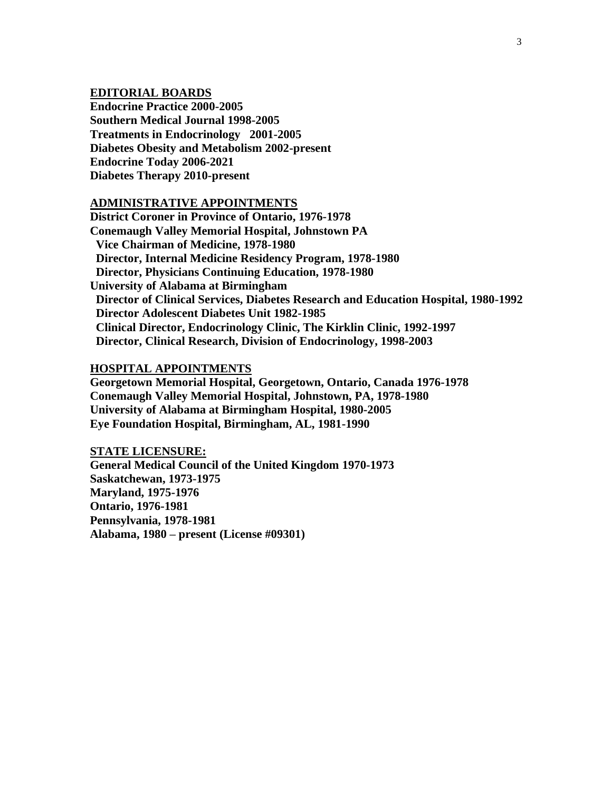### **EDITORIAL BOARDS**

**Endocrine Practice 2000-2005 Southern Medical Journal 1998-2005 Treatments in Endocrinology 2001-2005 Diabetes Obesity and Metabolism 2002-present Endocrine Today 2006-2021 Diabetes Therapy 2010-present**

#### **ADMINISTRATIVE APPOINTMENTS**

**District Coroner in Province of Ontario, 1976-1978 Conemaugh Valley Memorial Hospital, Johnstown PA Vice Chairman of Medicine, 1978-1980 Director, Internal Medicine Residency Program, 1978-1980 Director, Physicians Continuing Education, 1978-1980 University of Alabama at Birmingham Director of Clinical Services, Diabetes Research and Education Hospital, 1980-1992 Director Adolescent Diabetes Unit 1982-1985 Clinical Director, Endocrinology Clinic, The Kirklin Clinic, 1992-1997 Director, Clinical Research, Division of Endocrinology, 1998-2003**

### **HOSPITAL APPOINTMENTS**

**Georgetown Memorial Hospital, Georgetown, Ontario, Canada 1976-1978 Conemaugh Valley Memorial Hospital, Johnstown, PA, 1978-1980 University of Alabama at Birmingham Hospital, 1980-2005 Eye Foundation Hospital, Birmingham, AL, 1981-1990**

**STATE LICENSURE: General Medical Council of the United Kingdom 1970-1973 Saskatchewan, 1973-1975 Maryland, 1975-1976 Ontario, 1976-1981 Pennsylvania, 1978-1981 Alabama, 1980 – present (License #09301)**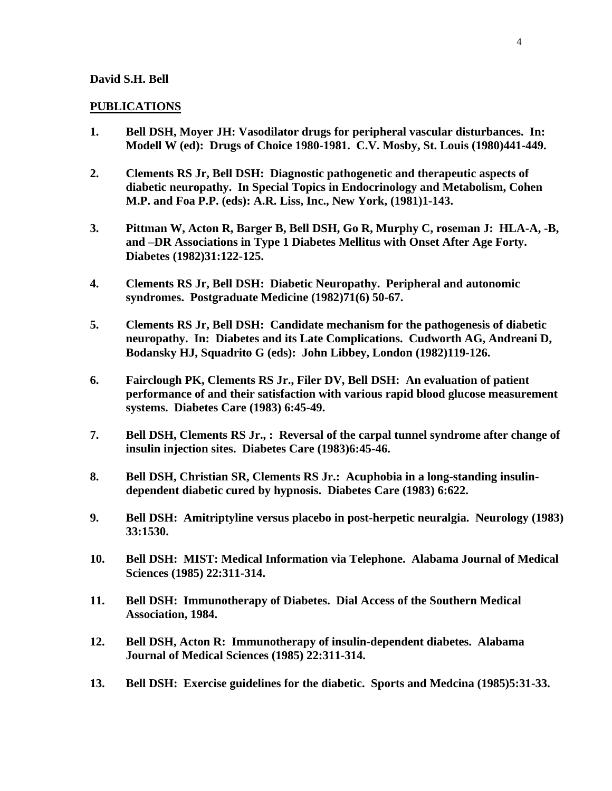#### **PUBLICATIONS**

- **1. Bell DSH, Moyer JH: Vasodilator drugs for peripheral vascular disturbances. In: Modell W (ed): Drugs of Choice 1980-1981. C.V. Mosby, St. Louis (1980)441-449.**
- **2. Clements RS Jr, Bell DSH: Diagnostic pathogenetic and therapeutic aspects of diabetic neuropathy. In Special Topics in Endocrinology and Metabolism, Cohen M.P. and Foa P.P. (eds): A.R. Liss, Inc., New York, (1981)1-143.**
- **3. Pittman W, Acton R, Barger B, Bell DSH, Go R, Murphy C, roseman J: HLA-A, -B, and –DR Associations in Type 1 Diabetes Mellitus with Onset After Age Forty. Diabetes (1982)31:122-125.**
- **4. Clements RS Jr, Bell DSH: Diabetic Neuropathy. Peripheral and autonomic syndromes. Postgraduate Medicine (1982)71(6) 50-67.**
- **5. Clements RS Jr, Bell DSH: Candidate mechanism for the pathogenesis of diabetic neuropathy. In: Diabetes and its Late Complications. Cudworth AG, Andreani D, Bodansky HJ, Squadrito G (eds): John Libbey, London (1982)119-126.**
- **6. Fairclough PK, Clements RS Jr., Filer DV, Bell DSH: An evaluation of patient performance of and their satisfaction with various rapid blood glucose measurement systems. Diabetes Care (1983) 6:45-49.**
- **7. Bell DSH, Clements RS Jr., : Reversal of the carpal tunnel syndrome after change of insulin injection sites. Diabetes Care (1983)6:45-46.**
- **8. Bell DSH, Christian SR, Clements RS Jr.: Acuphobia in a long-standing insulindependent diabetic cured by hypnosis. Diabetes Care (1983) 6:622.**
- **9. Bell DSH: Amitriptyline versus placebo in post-herpetic neuralgia. Neurology (1983) 33:1530.**
- **10. Bell DSH: MIST: Medical Information via Telephone. Alabama Journal of Medical Sciences (1985) 22:311-314.**
- **11. Bell DSH: Immunotherapy of Diabetes. Dial Access of the Southern Medical Association, 1984.**
- **12. Bell DSH, Acton R: Immunotherapy of insulin-dependent diabetes. Alabama Journal of Medical Sciences (1985) 22:311-314.**
- **13. Bell DSH: Exercise guidelines for the diabetic. Sports and Medcina (1985)5:31-33.**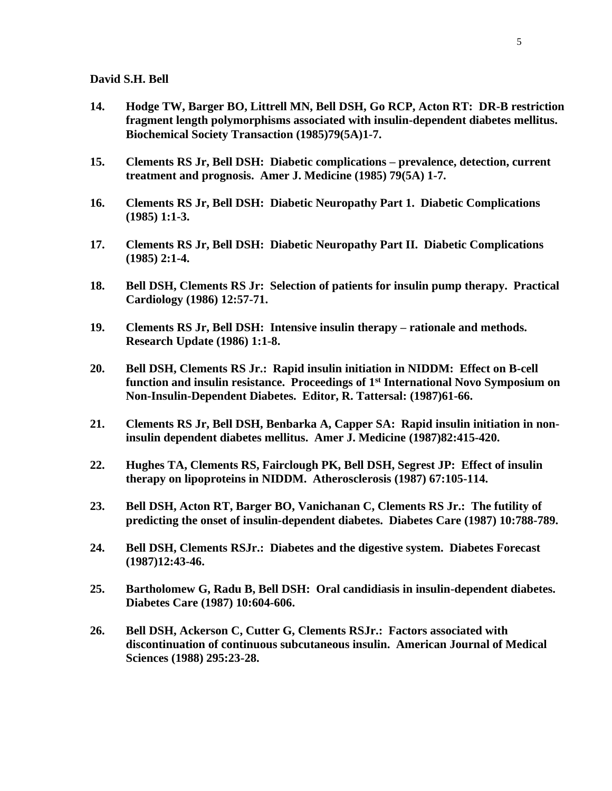- **14. Hodge TW, Barger BO, Littrell MN, Bell DSH, Go RCP, Acton RT: DR-B restriction fragment length polymorphisms associated with insulin-dependent diabetes mellitus. Biochemical Society Transaction (1985)79(5A)1-7.**
- **15. Clements RS Jr, Bell DSH: Diabetic complications – prevalence, detection, current treatment and prognosis. Amer J. Medicine (1985) 79(5A) 1-7.**
- **16. Clements RS Jr, Bell DSH: Diabetic Neuropathy Part 1. Diabetic Complications (1985) 1:1-3.**
- **17. Clements RS Jr, Bell DSH: Diabetic Neuropathy Part II. Diabetic Complications (1985) 2:1-4.**
- **18. Bell DSH, Clements RS Jr: Selection of patients for insulin pump therapy. Practical Cardiology (1986) 12:57-71.**
- **19. Clements RS Jr, Bell DSH: Intensive insulin therapy – rationale and methods. Research Update (1986) 1:1-8.**
- **20. Bell DSH, Clements RS Jr.: Rapid insulin initiation in NIDDM: Effect on B-cell function and insulin resistance. Proceedings of 1st International Novo Symposium on Non-Insulin-Dependent Diabetes. Editor, R. Tattersal: (1987)61-66.**
- **21. Clements RS Jr, Bell DSH, Benbarka A, Capper SA: Rapid insulin initiation in noninsulin dependent diabetes mellitus. Amer J. Medicine (1987)82:415-420.**
- **22. Hughes TA, Clements RS, Fairclough PK, Bell DSH, Segrest JP: Effect of insulin therapy on lipoproteins in NIDDM. Atherosclerosis (1987) 67:105-114.**
- **23. Bell DSH, Acton RT, Barger BO, Vanichanan C, Clements RS Jr.: The futility of predicting the onset of insulin-dependent diabetes. Diabetes Care (1987) 10:788-789.**
- **24. Bell DSH, Clements RSJr.: Diabetes and the digestive system. Diabetes Forecast (1987)12:43-46.**
- **25. Bartholomew G, Radu B, Bell DSH: Oral candidiasis in insulin-dependent diabetes. Diabetes Care (1987) 10:604-606.**
- **26. Bell DSH, Ackerson C, Cutter G, Clements RSJr.: Factors associated with discontinuation of continuous subcutaneous insulin. American Journal of Medical Sciences (1988) 295:23-28.**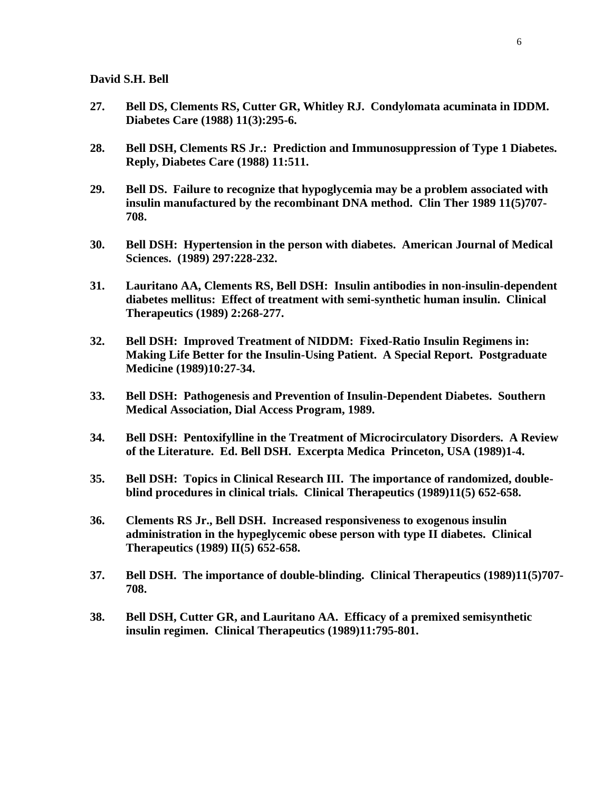- **27. Bell DS, Clements RS, Cutter GR, Whitley RJ. Condylomata acuminata in IDDM. Diabetes Care (1988) 11(3):295-6.**
- **28. Bell DSH, Clements RS Jr.: Prediction and Immunosuppression of Type 1 Diabetes. Reply, Diabetes Care (1988) 11:511.**
- **29. Bell DS. Failure to recognize that hypoglycemia may be a problem associated with insulin manufactured by the recombinant DNA method. Clin Ther 1989 11(5)707- 708.**
- **30. Bell DSH: Hypertension in the person with diabetes. American Journal of Medical Sciences. (1989) 297:228-232.**
- **31. Lauritano AA, Clements RS, Bell DSH: Insulin antibodies in non-insulin-dependent diabetes mellitus: Effect of treatment with semi-synthetic human insulin. Clinical Therapeutics (1989) 2:268-277.**
- **32. Bell DSH: Improved Treatment of NIDDM: Fixed-Ratio Insulin Regimens in: Making Life Better for the Insulin-Using Patient. A Special Report. Postgraduate Medicine (1989)10:27-34.**
- **33. Bell DSH: Pathogenesis and Prevention of Insulin-Dependent Diabetes. Southern Medical Association, Dial Access Program, 1989.**
- **34. Bell DSH: Pentoxifylline in the Treatment of Microcirculatory Disorders. A Review of the Literature. Ed. Bell DSH. Excerpta Medica Princeton, USA (1989)1-4.**
- **35. Bell DSH: Topics in Clinical Research III. The importance of randomized, doubleblind procedures in clinical trials. Clinical Therapeutics (1989)11(5) 652-658.**
- **36. Clements RS Jr., Bell DSH. Increased responsiveness to exogenous insulin administration in the hypeglycemic obese person with type II diabetes. Clinical Therapeutics (1989) II(5) 652-658.**
- **37. Bell DSH. The importance of double-blinding. Clinical Therapeutics (1989)11(5)707- 708.**
- **38. Bell DSH, Cutter GR, and Lauritano AA. Efficacy of a premixed semisynthetic insulin regimen. Clinical Therapeutics (1989)11:795-801.**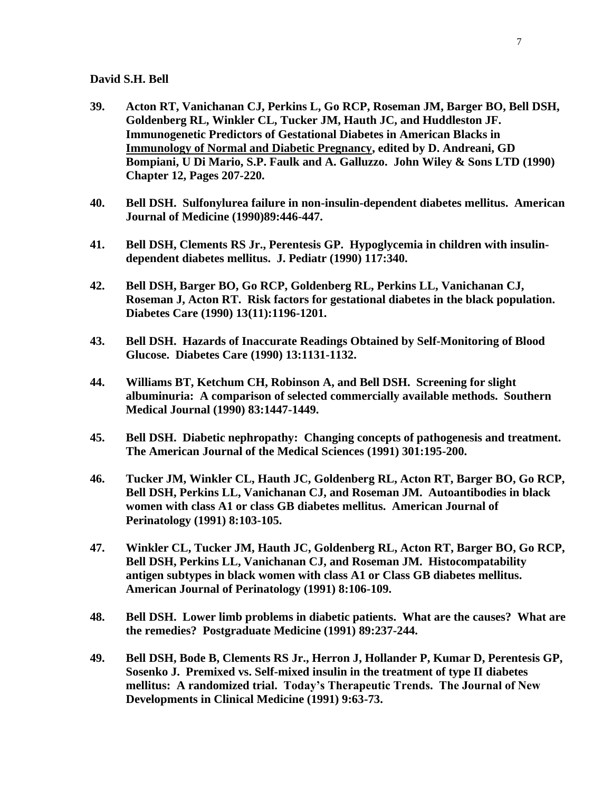- **39. Acton RT, Vanichanan CJ, Perkins L, Go RCP, Roseman JM, Barger BO, Bell DSH, Goldenberg RL, Winkler CL, Tucker JM, Hauth JC, and Huddleston JF. Immunogenetic Predictors of Gestational Diabetes in American Blacks in Immunology of Normal and Diabetic Pregnancy, edited by D. Andreani, GD Bompiani, U Di Mario, S.P. Faulk and A. Galluzzo. John Wiley & Sons LTD (1990) Chapter 12, Pages 207-220.**
- **40. Bell DSH. Sulfonylurea failure in non-insulin-dependent diabetes mellitus. American Journal of Medicine (1990)89:446-447.**
- **41. Bell DSH, Clements RS Jr., Perentesis GP. Hypoglycemia in children with insulindependent diabetes mellitus. J. Pediatr (1990) 117:340.**
- **42. Bell DSH, Barger BO, Go RCP, Goldenberg RL, Perkins LL, Vanichanan CJ, Roseman J, Acton RT. Risk factors for gestational diabetes in the black population. Diabetes Care (1990) 13(11):1196-1201.**
- **43. Bell DSH. Hazards of Inaccurate Readings Obtained by Self-Monitoring of Blood Glucose. Diabetes Care (1990) 13:1131-1132.**
- **44. Williams BT, Ketchum CH, Robinson A, and Bell DSH. Screening for slight albuminuria: A comparison of selected commercially available methods. Southern Medical Journal (1990) 83:1447-1449.**
- **45. Bell DSH. Diabetic nephropathy: Changing concepts of pathogenesis and treatment. The American Journal of the Medical Sciences (1991) 301:195-200.**
- **46. Tucker JM, Winkler CL, Hauth JC, Goldenberg RL, Acton RT, Barger BO, Go RCP, Bell DSH, Perkins LL, Vanichanan CJ, and Roseman JM. Autoantibodies in black women with class A1 or class GB diabetes mellitus. American Journal of Perinatology (1991) 8:103-105.**
- **47. Winkler CL, Tucker JM, Hauth JC, Goldenberg RL, Acton RT, Barger BO, Go RCP, Bell DSH, Perkins LL, Vanichanan CJ, and Roseman JM. Histocompatability antigen subtypes in black women with class A1 or Class GB diabetes mellitus. American Journal of Perinatology (1991) 8:106-109.**
- **48. Bell DSH. Lower limb problems in diabetic patients. What are the causes? What are the remedies? Postgraduate Medicine (1991) 89:237-244.**
- **49. Bell DSH, Bode B, Clements RS Jr., Herron J, Hollander P, Kumar D, Perentesis GP, Sosenko J. Premixed vs. Self-mixed insulin in the treatment of type II diabetes mellitus: A randomized trial. Today's Therapeutic Trends. The Journal of New Developments in Clinical Medicine (1991) 9:63-73.**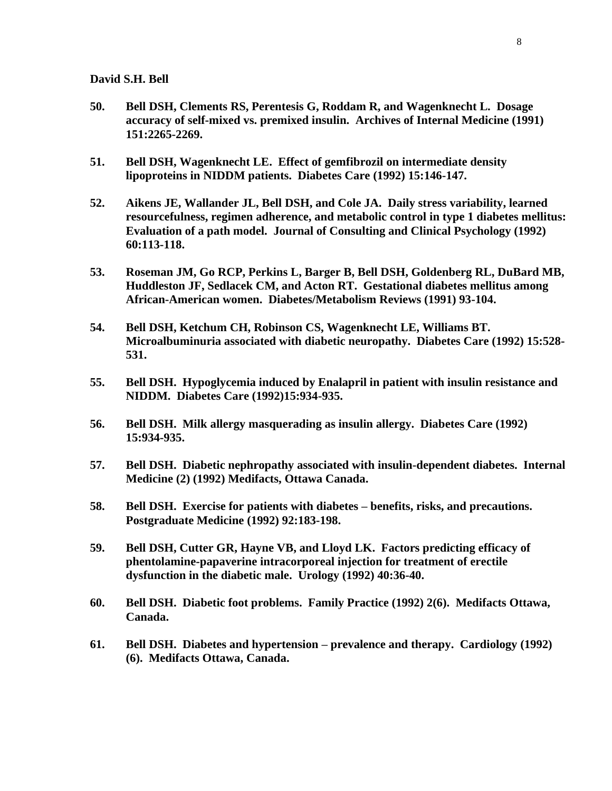- **50. Bell DSH, Clements RS, Perentesis G, Roddam R, and Wagenknecht L. Dosage accuracy of self-mixed vs. premixed insulin. Archives of Internal Medicine (1991) 151:2265-2269.**
- **51. Bell DSH, Wagenknecht LE. Effect of gemfibrozil on intermediate density lipoproteins in NIDDM patients. Diabetes Care (1992) 15:146-147.**
- **52. Aikens JE, Wallander JL, Bell DSH, and Cole JA. Daily stress variability, learned resourcefulness, regimen adherence, and metabolic control in type 1 diabetes mellitus: Evaluation of a path model. Journal of Consulting and Clinical Psychology (1992) 60:113-118.**
- **53. Roseman JM, Go RCP, Perkins L, Barger B, Bell DSH, Goldenberg RL, DuBard MB, Huddleston JF, Sedlacek CM, and Acton RT. Gestational diabetes mellitus among African-American women. Diabetes/Metabolism Reviews (1991) 93-104.**
- **54. Bell DSH, Ketchum CH, Robinson CS, Wagenknecht LE, Williams BT. Microalbuminuria associated with diabetic neuropathy. Diabetes Care (1992) 15:528- 531.**
- **55. Bell DSH. Hypoglycemia induced by Enalapril in patient with insulin resistance and NIDDM. Diabetes Care (1992)15:934-935.**
- **56. Bell DSH. Milk allergy masquerading as insulin allergy. Diabetes Care (1992) 15:934-935.**
- **57. Bell DSH. Diabetic nephropathy associated with insulin-dependent diabetes. Internal Medicine (2) (1992) Medifacts, Ottawa Canada.**
- **58. Bell DSH. Exercise for patients with diabetes – benefits, risks, and precautions. Postgraduate Medicine (1992) 92:183-198.**
- **59. Bell DSH, Cutter GR, Hayne VB, and Lloyd LK. Factors predicting efficacy of phentolamine-papaverine intracorporeal injection for treatment of erectile dysfunction in the diabetic male. Urology (1992) 40:36-40.**
- **60. Bell DSH. Diabetic foot problems. Family Practice (1992) 2(6). Medifacts Ottawa, Canada.**
- **61. Bell DSH. Diabetes and hypertension – prevalence and therapy. Cardiology (1992) (6). Medifacts Ottawa, Canada.**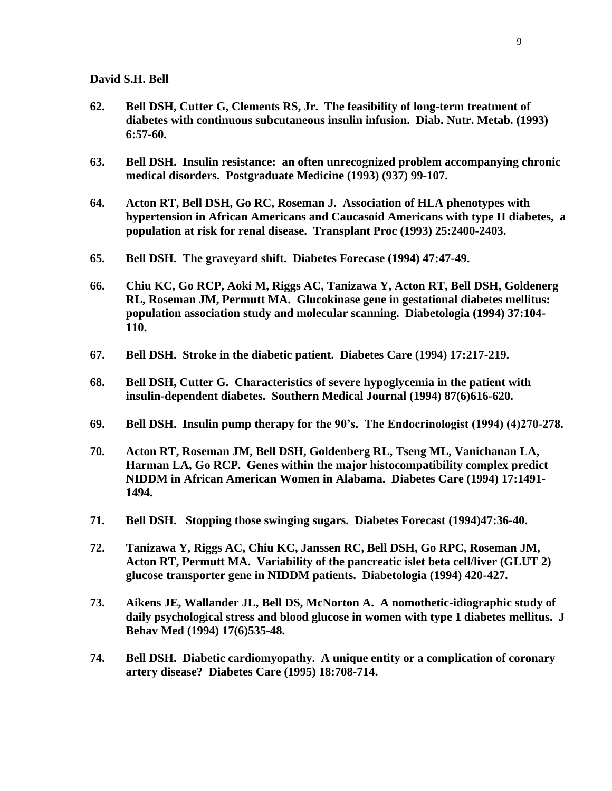- **62. Bell DSH, Cutter G, Clements RS, Jr. The feasibility of long-term treatment of diabetes with continuous subcutaneous insulin infusion. Diab. Nutr. Metab. (1993) 6:57-60.**
- **63. Bell DSH. Insulin resistance: an often unrecognized problem accompanying chronic medical disorders. Postgraduate Medicine (1993) (937) 99-107.**
- **64. Acton RT, Bell DSH, Go RC, Roseman J. Association of HLA phenotypes with hypertension in African Americans and Caucasoid Americans with type II diabetes, a population at risk for renal disease. Transplant Proc (1993) 25:2400-2403.**
- **65. Bell DSH. The graveyard shift. Diabetes Forecase (1994) 47:47-49.**
- **66. Chiu KC, Go RCP, Aoki M, Riggs AC, Tanizawa Y, Acton RT, Bell DSH, Goldenerg RL, Roseman JM, Permutt MA. Glucokinase gene in gestational diabetes mellitus: population association study and molecular scanning. Diabetologia (1994) 37:104- 110.**
- **67. Bell DSH. Stroke in the diabetic patient. Diabetes Care (1994) 17:217-219.**
- **68. Bell DSH, Cutter G. Characteristics of severe hypoglycemia in the patient with insulin-dependent diabetes. Southern Medical Journal (1994) 87(6)616-620.**
- **69. Bell DSH. Insulin pump therapy for the 90's. The Endocrinologist (1994) (4)270-278.**
- **70. Acton RT, Roseman JM, Bell DSH, Goldenberg RL, Tseng ML, Vanichanan LA, Harman LA, Go RCP. Genes within the major histocompatibility complex predict NIDDM in African American Women in Alabama. Diabetes Care (1994) 17:1491- 1494.**
- **71. Bell DSH. Stopping those swinging sugars. Diabetes Forecast (1994)47:36-40.**
- **72. Tanizawa Y, Riggs AC, Chiu KC, Janssen RC, Bell DSH, Go RPC, Roseman JM, Acton RT, Permutt MA. Variability of the pancreatic islet beta cell/liver (GLUT 2) glucose transporter gene in NIDDM patients. Diabetologia (1994) 420-427.**
- **73. Aikens JE, Wallander JL, Bell DS, McNorton A. A nomothetic-idiographic study of daily psychological stress and blood glucose in women with type 1 diabetes mellitus. J Behav Med (1994) 17(6)535-48.**
- **74. Bell DSH. Diabetic cardiomyopathy. A unique entity or a complication of coronary artery disease? Diabetes Care (1995) 18:708-714.**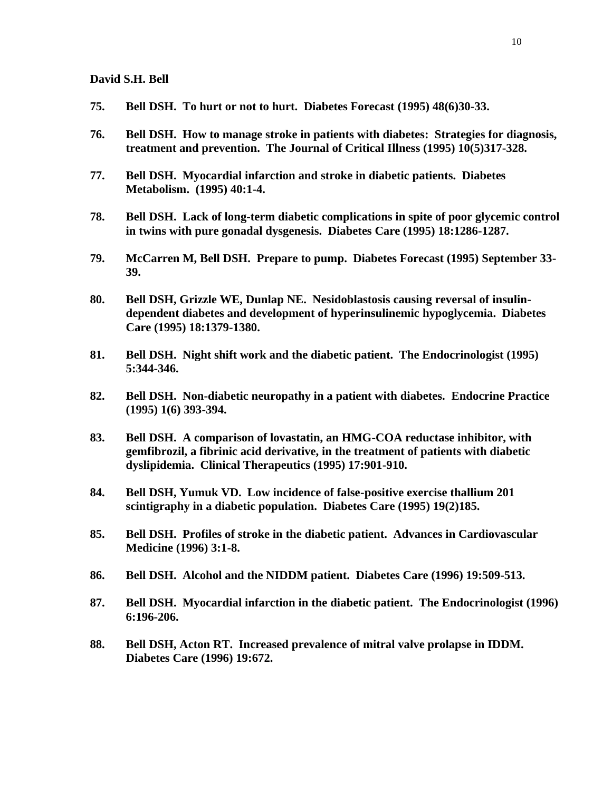- **75. Bell DSH. To hurt or not to hurt. Diabetes Forecast (1995) 48(6)30-33.**
- **76. Bell DSH. How to manage stroke in patients with diabetes: Strategies for diagnosis, treatment and prevention. The Journal of Critical Illness (1995) 10(5)317-328.**
- **77. Bell DSH. Myocardial infarction and stroke in diabetic patients. Diabetes Metabolism. (1995) 40:1-4.**
- **78. Bell DSH. Lack of long-term diabetic complications in spite of poor glycemic control in twins with pure gonadal dysgenesis. Diabetes Care (1995) 18:1286-1287.**
- **79. McCarren M, Bell DSH. Prepare to pump. Diabetes Forecast (1995) September 33- 39.**
- **80. Bell DSH, Grizzle WE, Dunlap NE. Nesidoblastosis causing reversal of insulindependent diabetes and development of hyperinsulinemic hypoglycemia. Diabetes Care (1995) 18:1379-1380.**
- **81. Bell DSH. Night shift work and the diabetic patient. The Endocrinologist (1995) 5:344-346.**
- **82. Bell DSH. Non-diabetic neuropathy in a patient with diabetes. Endocrine Practice (1995) 1(6) 393-394.**
- **83. Bell DSH. A comparison of lovastatin, an HMG-COA reductase inhibitor, with gemfibrozil, a fibrinic acid derivative, in the treatment of patients with diabetic dyslipidemia. Clinical Therapeutics (1995) 17:901-910.**
- **84. Bell DSH, Yumuk VD. Low incidence of false-positive exercise thallium 201 scintigraphy in a diabetic population. Diabetes Care (1995) 19(2)185.**
- **85. Bell DSH. Profiles of stroke in the diabetic patient. Advances in Cardiovascular Medicine (1996) 3:1-8.**
- **86. Bell DSH. Alcohol and the NIDDM patient. Diabetes Care (1996) 19:509-513.**
- **87. Bell DSH. Myocardial infarction in the diabetic patient. The Endocrinologist (1996) 6:196-206.**
- **88. Bell DSH, Acton RT. Increased prevalence of mitral valve prolapse in IDDM. Diabetes Care (1996) 19:672.**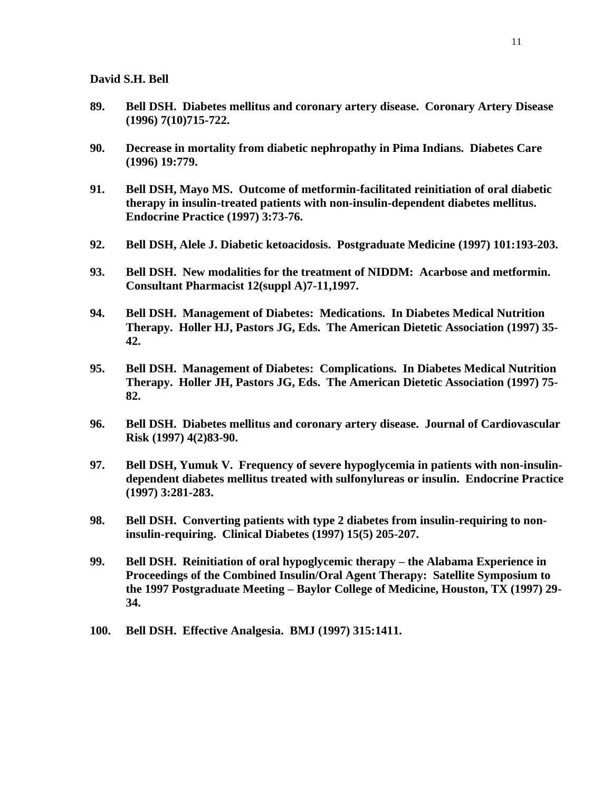- **89. Bell DSH. Diabetes mellitus and coronary artery disease. Coronary Artery Disease (1996) 7(10)715-722.**
- **90. Decrease in mortality from diabetic nephropathy in Pima Indians. Diabetes Care (1996) 19:779.**
- **91. Bell DSH, Mayo MS. Outcome of metformin-facilitated reinitiation of oral diabetic therapy in insulin-treated patients with non-insulin-dependent diabetes mellitus. Endocrine Practice (1997) 3:73-76.**
- **92. Bell DSH, Alele J. Diabetic ketoacidosis. Postgraduate Medicine (1997) 101:193-203.**
- **93. Bell DSH. New modalities for the treatment of NIDDM: Acarbose and metformin. Consultant Pharmacist 12(suppl A)7-11,1997.**
- **94. Bell DSH. Management of Diabetes: Medications. In Diabetes Medical Nutrition Therapy. Holler HJ, Pastors JG, Eds. The American Dietetic Association (1997) 35- 42.**
- **95. Bell DSH. Management of Diabetes: Complications. In Diabetes Medical Nutrition Therapy. Holler JH, Pastors JG, Eds. The American Dietetic Association (1997) 75- 82.**
- **96. Bell DSH. Diabetes mellitus and coronary artery disease. Journal of Cardiovascular Risk (1997) 4(2)83-90.**
- **97. Bell DSH, Yumuk V. Frequency of severe hypoglycemia in patients with non-insulindependent diabetes mellitus treated with sulfonylureas or insulin. Endocrine Practice (1997) 3:281-283.**
- **98. Bell DSH. Converting patients with type 2 diabetes from insulin-requiring to noninsulin-requiring. Clinical Diabetes (1997) 15(5) 205-207.**
- **99. Bell DSH. Reinitiation of oral hypoglycemic therapy – the Alabama Experience in Proceedings of the Combined Insulin/Oral Agent Therapy: Satellite Symposium to the 1997 Postgraduate Meeting – Baylor College of Medicine, Houston, TX (1997) 29- 34.**
- **100. Bell DSH. Effective Analgesia. BMJ (1997) 315:1411.**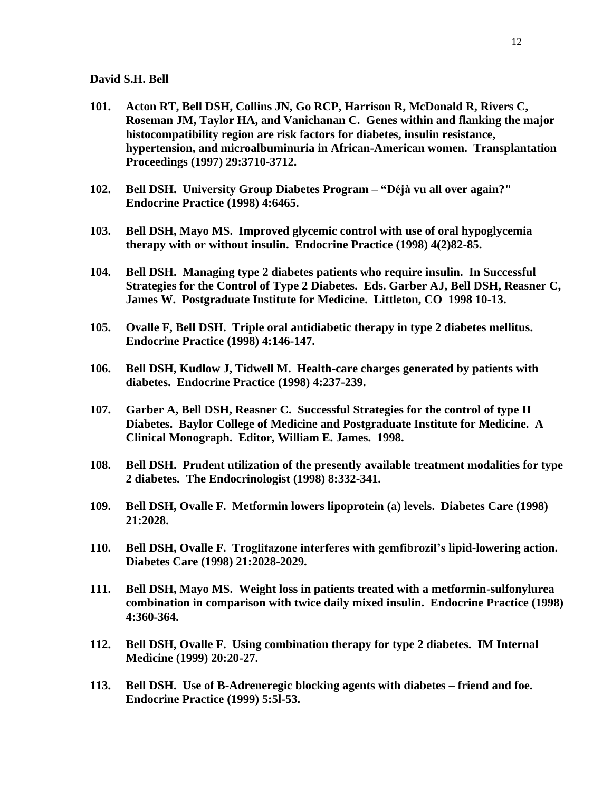- **101. Acton RT, Bell DSH, Collins JN, Go RCP, Harrison R, McDonald R, Rivers C, Roseman JM, Taylor HA, and Vanichanan C. Genes within and flanking the major histocompatibility region are risk factors for diabetes, insulin resistance, hypertension, and microalbuminuria in African-American women. Transplantation Proceedings (1997) 29:3710-3712.**
- **102. Bell DSH. University Group Diabetes Program – "Déjà vu all over again?" Endocrine Practice (1998) 4:6465.**
- **103. Bell DSH, Mayo MS. Improved glycemic control with use of oral hypoglycemia therapy with or without insulin. Endocrine Practice (1998) 4(2)82-85.**
- **104. Bell DSH. Managing type 2 diabetes patients who require insulin. In Successful Strategies for the Control of Type 2 Diabetes. Eds. Garber AJ, Bell DSH, Reasner C, James W. Postgraduate Institute for Medicine. Littleton, CO 1998 10-13.**
- **105. Ovalle F, Bell DSH. Triple oral antidiabetic therapy in type 2 diabetes mellitus. Endocrine Practice (1998) 4:146-147.**
- **106. Bell DSH, Kudlow J, Tidwell M. Health-care charges generated by patients with diabetes. Endocrine Practice (1998) 4:237-239.**
- **107. Garber A, Bell DSH, Reasner C. Successful Strategies for the control of type II Diabetes. Baylor College of Medicine and Postgraduate Institute for Medicine. A Clinical Monograph. Editor, William E. James. 1998.**
- **108. Bell DSH. Prudent utilization of the presently available treatment modalities for type 2 diabetes. The Endocrinologist (1998) 8:332-341.**
- **109. Bell DSH, Ovalle F. Metformin lowers lipoprotein (a) levels. Diabetes Care (1998) 21:2028.**
- **110. Bell DSH, Ovalle F. Troglitazone interferes with gemfibrozil's lipid-lowering action. Diabetes Care (1998) 21:2028-2029.**
- **111. Bell DSH, Mayo MS. Weight loss in patients treated with a metformin-sulfonylurea combination in comparison with twice daily mixed insulin. Endocrine Practice (1998) 4:360-364.**
- **112. Bell DSH, Ovalle F. Using combination therapy for type 2 diabetes. IM Internal Medicine (1999) 20:20-27.**
- **113. Bell DSH. Use of B-Adreneregic blocking agents with diabetes – friend and foe. Endocrine Practice (1999) 5:5l-53.**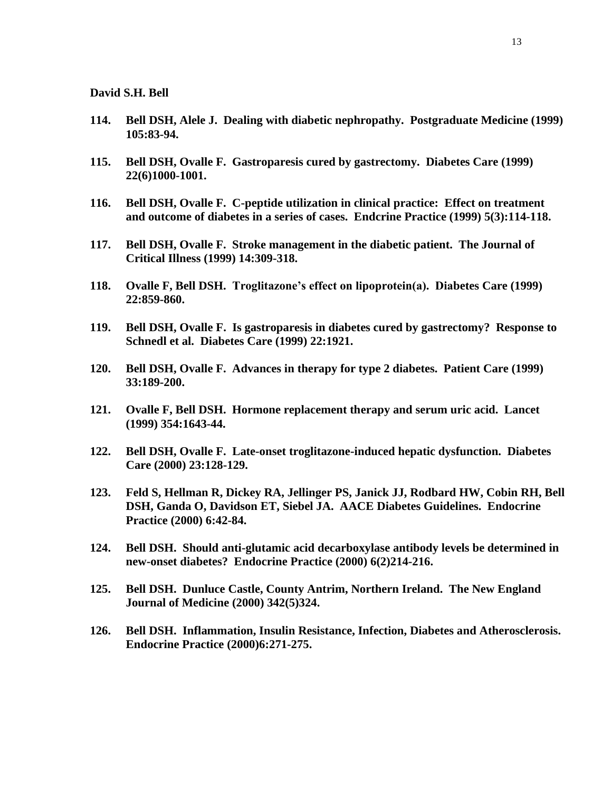- **114. Bell DSH, Alele J. Dealing with diabetic nephropathy. Postgraduate Medicine (1999) 105:83-94.**
- **115. Bell DSH, Ovalle F. Gastroparesis cured by gastrectomy. Diabetes Care (1999) 22(6)1000-1001.**
- **116. Bell DSH, Ovalle F. C-peptide utilization in clinical practice: Effect on treatment and outcome of diabetes in a series of cases. Endcrine Practice (1999) 5(3):114-118.**
- **117. Bell DSH, Ovalle F. Stroke management in the diabetic patient. The Journal of Critical Illness (1999) 14:309-318.**
- **118. Ovalle F, Bell DSH. Troglitazone's effect on lipoprotein(a). Diabetes Care (1999) 22:859-860.**
- **119. Bell DSH, Ovalle F. Is gastroparesis in diabetes cured by gastrectomy? Response to Schnedl et al. Diabetes Care (1999) 22:1921.**
- **120. Bell DSH, Ovalle F. Advances in therapy for type 2 diabetes. Patient Care (1999) 33:189-200.**
- **121. Ovalle F, Bell DSH. Hormone replacement therapy and serum uric acid. Lancet (1999) 354:1643-44.**
- **122. Bell DSH, Ovalle F. Late-onset troglitazone-induced hepatic dysfunction. Diabetes Care (2000) 23:128-129.**
- **123. Feld S, Hellman R, Dickey RA, Jellinger PS, Janick JJ, Rodbard HW, Cobin RH, Bell DSH, Ganda O, Davidson ET, Siebel JA. AACE Diabetes Guidelines. Endocrine Practice (2000) 6:42-84.**
- **124. Bell DSH. Should anti-glutamic acid decarboxylase antibody levels be determined in new-onset diabetes? Endocrine Practice (2000) 6(2)214-216.**
- **125. Bell DSH. Dunluce Castle, County Antrim, Northern Ireland. The New England Journal of Medicine (2000) 342(5)324.**
- **126. Bell DSH. Inflammation, Insulin Resistance, Infection, Diabetes and Atherosclerosis. Endocrine Practice (2000)6:271-275.**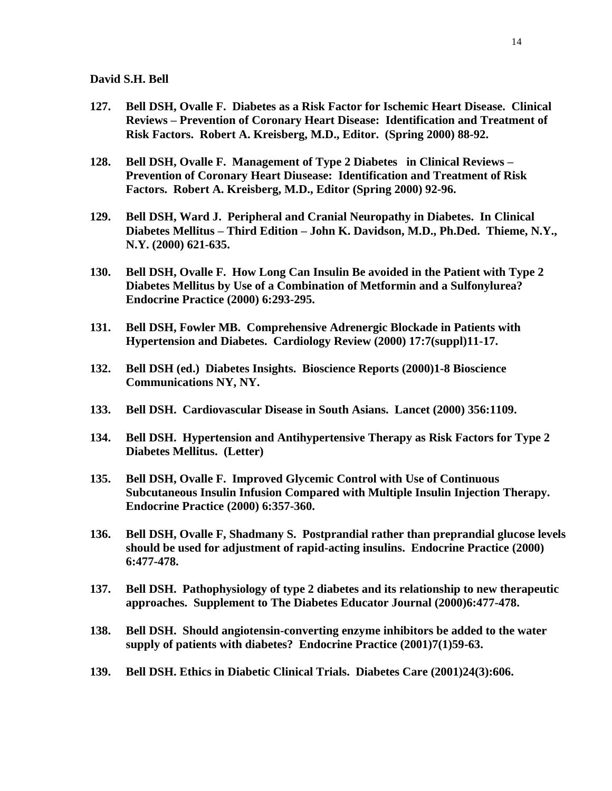- **127. Bell DSH, Ovalle F. Diabetes as a Risk Factor for Ischemic Heart Disease. Clinical Reviews – Prevention of Coronary Heart Disease: Identification and Treatment of Risk Factors. Robert A. Kreisberg, M.D., Editor. (Spring 2000) 88-92.**
- **128. Bell DSH, Ovalle F. Management of Type 2 Diabetes in Clinical Reviews – Prevention of Coronary Heart Diusease: Identification and Treatment of Risk Factors. Robert A. Kreisberg, M.D., Editor (Spring 2000) 92-96.**
- **129. Bell DSH, Ward J. Peripheral and Cranial Neuropathy in Diabetes. In Clinical Diabetes Mellitus – Third Edition – John K. Davidson, M.D., Ph.Ded. Thieme, N.Y., N.Y. (2000) 621-635.**
- **130. Bell DSH, Ovalle F. How Long Can Insulin Be avoided in the Patient with Type 2 Diabetes Mellitus by Use of a Combination of Metformin and a Sulfonylurea? Endocrine Practice (2000) 6:293-295.**
- **131. Bell DSH, Fowler MB. Comprehensive Adrenergic Blockade in Patients with Hypertension and Diabetes. Cardiology Review (2000) 17:7(suppl)11-17.**
- **132. Bell DSH (ed.) Diabetes Insights. Bioscience Reports (2000)1-8 Bioscience Communications NY, NY.**
- **133. Bell DSH. Cardiovascular Disease in South Asians. Lancet (2000) 356:1109.**
- **134. Bell DSH. Hypertension and Antihypertensive Therapy as Risk Factors for Type 2 Diabetes Mellitus. (Letter)**
- **135. Bell DSH, Ovalle F. Improved Glycemic Control with Use of Continuous Subcutaneous Insulin Infusion Compared with Multiple Insulin Injection Therapy. Endocrine Practice (2000) 6:357-360.**
- **136. Bell DSH, Ovalle F, Shadmany S. Postprandial rather than preprandial glucose levels should be used for adjustment of rapid-acting insulins. Endocrine Practice (2000) 6:477-478.**
- **137. Bell DSH. Pathophysiology of type 2 diabetes and its relationship to new therapeutic approaches. Supplement to The Diabetes Educator Journal (2000)6:477-478.**
- **138. Bell DSH. Should angiotensin-converting enzyme inhibitors be added to the water supply of patients with diabetes? Endocrine Practice (2001)7(1)59-63.**
- **139. Bell DSH. Ethics in Diabetic Clinical Trials. Diabetes Care (2001)24(3):606.**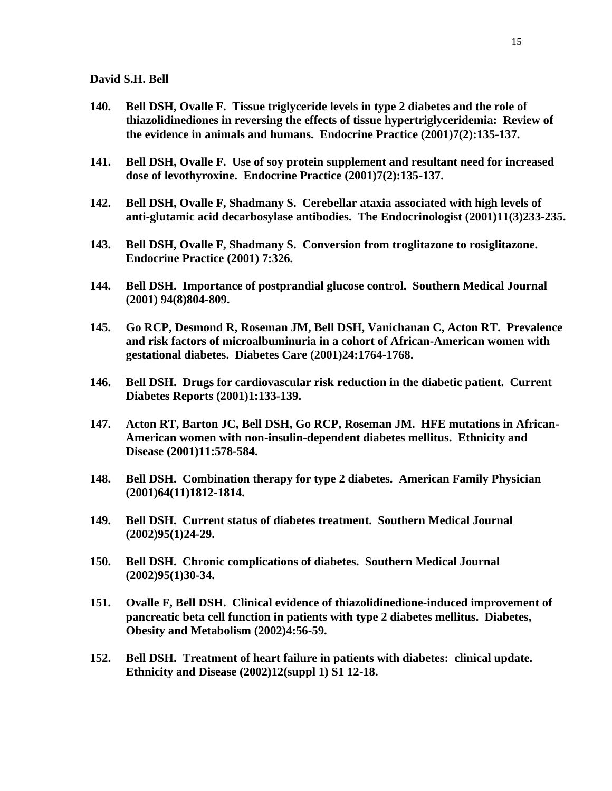- **140. Bell DSH, Ovalle F. Tissue triglyceride levels in type 2 diabetes and the role of thiazolidinediones in reversing the effects of tissue hypertriglyceridemia: Review of the evidence in animals and humans. Endocrine Practice (2001)7(2):135-137.**
- **141. Bell DSH, Ovalle F. Use of soy protein supplement and resultant need for increased dose of levothyroxine. Endocrine Practice (2001)7(2):135-137.**
- **142. Bell DSH, Ovalle F, Shadmany S. Cerebellar ataxia associated with high levels of anti-glutamic acid decarbosylase antibodies. The Endocrinologist (2001)11(3)233-235.**
- **143. Bell DSH, Ovalle F, Shadmany S. Conversion from troglitazone to rosiglitazone. Endocrine Practice (2001) 7:326.**
- **144. Bell DSH. Importance of postprandial glucose control. Southern Medical Journal (2001) 94(8)804-809.**
- **145. Go RCP, Desmond R, Roseman JM, Bell DSH, Vanichanan C, Acton RT. Prevalence and risk factors of microalbuminuria in a cohort of African-American women with gestational diabetes. Diabetes Care (2001)24:1764-1768.**
- **146. Bell DSH. Drugs for cardiovascular risk reduction in the diabetic patient. Current Diabetes Reports (2001)1:133-139.**
- **147. Acton RT, Barton JC, Bell DSH, Go RCP, Roseman JM. HFE mutations in African-American women with non-insulin-dependent diabetes mellitus. Ethnicity and Disease (2001)11:578-584.**
- **148. Bell DSH. Combination therapy for type 2 diabetes. American Family Physician (2001)64(11)1812-1814.**
- **149. Bell DSH. Current status of diabetes treatment. Southern Medical Journal (2002)95(1)24-29.**
- **150. Bell DSH. Chronic complications of diabetes. Southern Medical Journal (2002)95(1)30-34.**
- **151. Ovalle F, Bell DSH. Clinical evidence of thiazolidinedione-induced improvement of pancreatic beta cell function in patients with type 2 diabetes mellitus. Diabetes, Obesity and Metabolism (2002)4:56-59.**
- **152. Bell DSH. Treatment of heart failure in patients with diabetes: clinical update. Ethnicity and Disease (2002)12(suppl 1) S1 12-18.**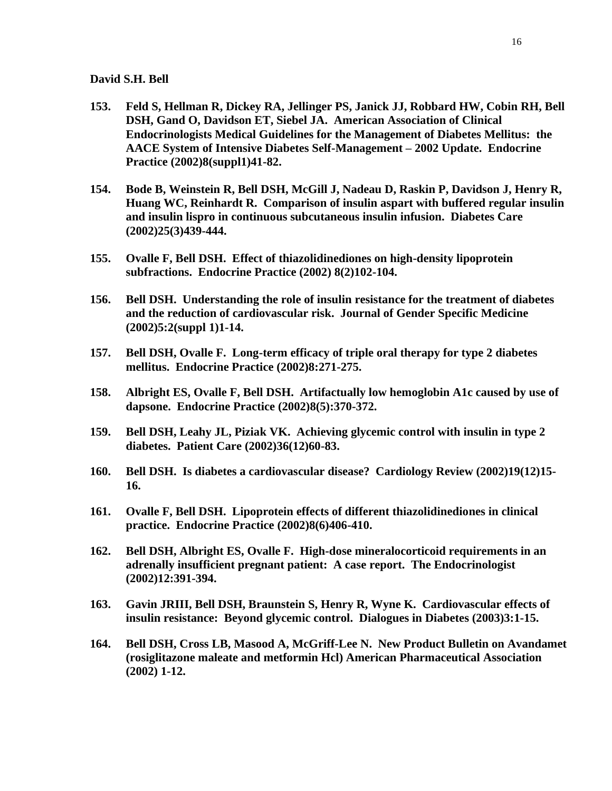- **153. Feld S, Hellman R, Dickey RA, Jellinger PS, Janick JJ, Robbard HW, Cobin RH, Bell DSH, Gand O, Davidson ET, Siebel JA. American Association of Clinical Endocrinologists Medical Guidelines for the Management of Diabetes Mellitus: the AACE System of Intensive Diabetes Self-Management – 2002 Update. Endocrine Practice (2002)8(suppl1)41-82.**
- **154. Bode B, Weinstein R, Bell DSH, McGill J, Nadeau D, Raskin P, Davidson J, Henry R, Huang WC, Reinhardt R. Comparison of insulin aspart with buffered regular insulin and insulin lispro in continuous subcutaneous insulin infusion. Diabetes Care (2002)25(3)439-444.**
- **155. Ovalle F, Bell DSH. Effect of thiazolidinediones on high-density lipoprotein subfractions. Endocrine Practice (2002) 8(2)102-104.**
- **156. Bell DSH. Understanding the role of insulin resistance for the treatment of diabetes and the reduction of cardiovascular risk. Journal of Gender Specific Medicine (2002)5:2(suppl 1)1-14.**
- **157. Bell DSH, Ovalle F. Long-term efficacy of triple oral therapy for type 2 diabetes mellitus. Endocrine Practice (2002)8:271-275.**
- **158. Albright ES, Ovalle F, Bell DSH. Artifactually low hemoglobin A1c caused by use of dapsone. Endocrine Practice (2002)8(5):370-372.**
- **159. Bell DSH, Leahy JL, Piziak VK. Achieving glycemic control with insulin in type 2 diabetes. Patient Care (2002)36(12)60-83.**
- **160. Bell DSH. Is diabetes a cardiovascular disease? Cardiology Review (2002)19(12)15- 16.**
- **161. Ovalle F, Bell DSH. Lipoprotein effects of different thiazolidinediones in clinical practice. Endocrine Practice (2002)8(6)406-410.**
- **162. Bell DSH, Albright ES, Ovalle F. High-dose mineralocorticoid requirements in an adrenally insufficient pregnant patient: A case report. The Endocrinologist (2002)12:391-394.**
- **163. Gavin JRIII, Bell DSH, Braunstein S, Henry R, Wyne K. Cardiovascular effects of insulin resistance: Beyond glycemic control. Dialogues in Diabetes (2003)3:1-15.**
- **164. Bell DSH, Cross LB, Masood A, McGriff-Lee N. New Product Bulletin on Avandamet (rosiglitazone maleate and metformin Hcl) American Pharmaceutical Association (2002) 1-12.**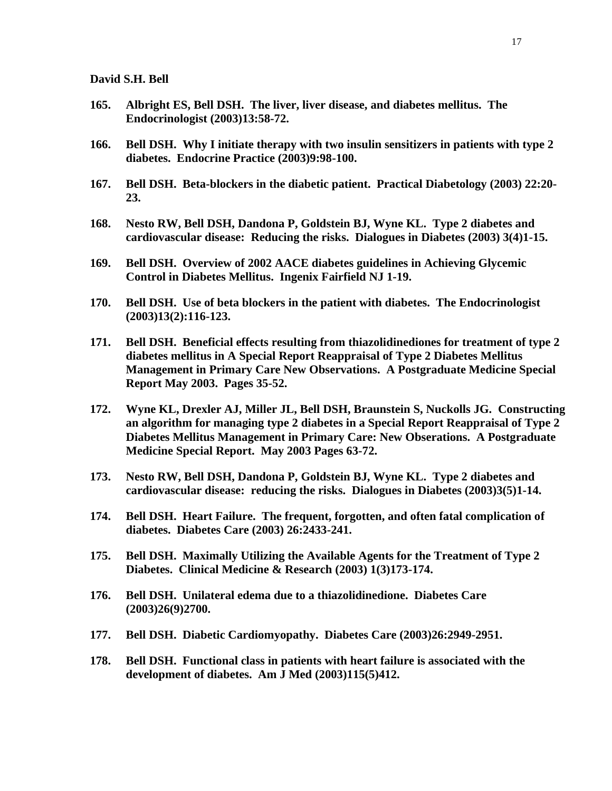- **165. Albright ES, Bell DSH. The liver, liver disease, and diabetes mellitus. The Endocrinologist (2003)13:58-72.**
- **166. Bell DSH. Why I initiate therapy with two insulin sensitizers in patients with type 2 diabetes. Endocrine Practice (2003)9:98-100.**
- **167. Bell DSH. Beta-blockers in the diabetic patient. Practical Diabetology (2003) 22:20- 23.**
- **168. Nesto RW, Bell DSH, Dandona P, Goldstein BJ, Wyne KL. Type 2 diabetes and cardiovascular disease: Reducing the risks. Dialogues in Diabetes (2003) 3(4)1-15.**
- **169. Bell DSH. Overview of 2002 AACE diabetes guidelines in Achieving Glycemic Control in Diabetes Mellitus. Ingenix Fairfield NJ 1-19.**
- **170. Bell DSH. Use of beta blockers in the patient with diabetes. The Endocrinologist (2003)13(2):116-123.**
- **171. Bell DSH. Beneficial effects resulting from thiazolidinediones for treatment of type 2 diabetes mellitus in A Special Report Reappraisal of Type 2 Diabetes Mellitus Management in Primary Care New Observations. A Postgraduate Medicine Special Report May 2003. Pages 35-52.**
- **172. Wyne KL, Drexler AJ, Miller JL, Bell DSH, Braunstein S, Nuckolls JG. Constructing an algorithm for managing type 2 diabetes in a Special Report Reappraisal of Type 2 Diabetes Mellitus Management in Primary Care: New Obserations. A Postgraduate Medicine Special Report. May 2003 Pages 63-72.**
- **173. Nesto RW, Bell DSH, Dandona P, Goldstein BJ, Wyne KL. Type 2 diabetes and cardiovascular disease: reducing the risks. Dialogues in Diabetes (2003)3(5)1-14.**
- **174. Bell DSH. Heart Failure. The frequent, forgotten, and often fatal complication of diabetes. Diabetes Care (2003) 26:2433-241.**
- **175. Bell DSH. Maximally Utilizing the Available Agents for the Treatment of Type 2 Diabetes. Clinical Medicine & Research (2003) 1(3)173-174.**
- **176. Bell DSH. Unilateral edema due to a thiazolidinedione. Diabetes Care (2003)26(9)2700.**
- **177. Bell DSH. Diabetic Cardiomyopathy. Diabetes Care (2003)26:2949-2951.**
- **178. Bell DSH. Functional class in patients with heart failure is associated with the development of diabetes. Am J Med (2003)115(5)412.**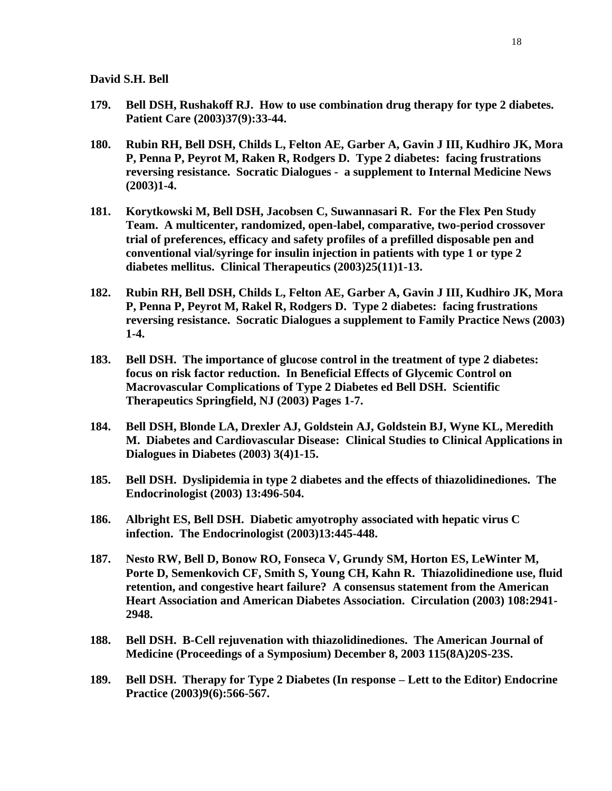- **179. Bell DSH, Rushakoff RJ. How to use combination drug therapy for type 2 diabetes. Patient Care (2003)37(9):33-44.**
- **180. Rubin RH, Bell DSH, Childs L, Felton AE, Garber A, Gavin J III, Kudhiro JK, Mora P, Penna P, Peyrot M, Raken R, Rodgers D. Type 2 diabetes: facing frustrations reversing resistance. Socratic Dialogues - a supplement to Internal Medicine News (2003)1-4.**
- **181. Korytkowski M, Bell DSH, Jacobsen C, Suwannasari R. For the Flex Pen Study Team. A multicenter, randomized, open-label, comparative, two-period crossover trial of preferences, efficacy and safety profiles of a prefilled disposable pen and conventional vial/syringe for insulin injection in patients with type 1 or type 2 diabetes mellitus. Clinical Therapeutics (2003)25(11)1-13.**
- **182. Rubin RH, Bell DSH, Childs L, Felton AE, Garber A, Gavin J III, Kudhiro JK, Mora P, Penna P, Peyrot M, Rakel R, Rodgers D. Type 2 diabetes: facing frustrations reversing resistance. Socratic Dialogues a supplement to Family Practice News (2003) 1-4.**
- **183. Bell DSH. The importance of glucose control in the treatment of type 2 diabetes: focus on risk factor reduction. In Beneficial Effects of Glycemic Control on Macrovascular Complications of Type 2 Diabetes ed Bell DSH. Scientific Therapeutics Springfield, NJ (2003) Pages 1-7.**
- **184. Bell DSH, Blonde LA, Drexler AJ, Goldstein AJ, Goldstein BJ, Wyne KL, Meredith M. Diabetes and Cardiovascular Disease: Clinical Studies to Clinical Applications in Dialogues in Diabetes (2003) 3(4)1-15.**
- **185. Bell DSH. Dyslipidemia in type 2 diabetes and the effects of thiazolidinediones. The Endocrinologist (2003) 13:496-504.**
- **186. Albright ES, Bell DSH. Diabetic amyotrophy associated with hepatic virus C infection. The Endocrinologist (2003)13:445-448.**
- **187. Nesto RW, Bell D, Bonow RO, Fonseca V, Grundy SM, Horton ES, LeWinter M, Porte D, Semenkovich CF, Smith S, Young CH, Kahn R. Thiazolidinedione use, fluid retention, and congestive heart failure? A consensus statement from the American Heart Association and American Diabetes Association. Circulation (2003) 108:2941- 2948.**
- **188. Bell DSH. B-Cell rejuvenation with thiazolidinediones. The American Journal of Medicine (Proceedings of a Symposium) December 8, 2003 115(8A)20S-23S.**
- **189. Bell DSH. Therapy for Type 2 Diabetes (In response – Lett to the Editor) Endocrine Practice (2003)9(6):566-567.**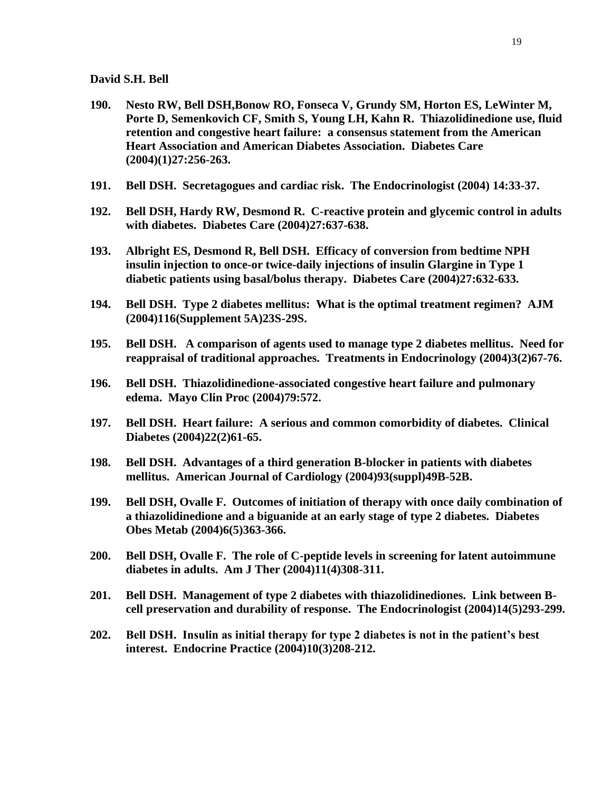- **190. Nesto RW, Bell DSH,Bonow RO, Fonseca V, Grundy SM, Horton ES, LeWinter M, Porte D, Semenkovich CF, Smith S, Young LH, Kahn R. Thiazolidinedione use, fluid retention and congestive heart failure: a consensus statement from the American Heart Association and American Diabetes Association. Diabetes Care (2004)(1)27:256-263.**
- **191. Bell DSH. Secretagogues and cardiac risk. The Endocrinologist (2004) 14:33-37.**
- **192. Bell DSH, Hardy RW, Desmond R. C-reactive protein and glycemic control in adults with diabetes. Diabetes Care (2004)27:637-638.**
- **193. Albright ES, Desmond R, Bell DSH. Efficacy of conversion from bedtime NPH insulin injection to once-or twice-daily injections of insulin Glargine in Type 1 diabetic patients using basal/bolus therapy. Diabetes Care (2004)27:632-633.**
- **194. Bell DSH. Type 2 diabetes mellitus: What is the optimal treatment regimen? AJM (2004)116(Supplement 5A)23S-29S.**
- **195. Bell DSH. A comparison of agents used to manage type 2 diabetes mellitus. Need for reappraisal of traditional approaches. Treatments in Endocrinology (2004)3(2)67-76.**
- **196. Bell DSH. Thiazolidinedione-associated congestive heart failure and pulmonary edema. Mayo Clin Proc (2004)79:572.**
- **197. Bell DSH. Heart failure: A serious and common comorbidity of diabetes. Clinical Diabetes (2004)22(2)61-65.**
- **198. Bell DSH. Advantages of a third generation B-blocker in patients with diabetes mellitus. American Journal of Cardiology (2004)93(suppl)49B-52B.**
- **199. Bell DSH, Ovalle F. Outcomes of initiation of therapy with once daily combination of a thiazolidinedione and a biguanide at an early stage of type 2 diabetes. Diabetes Obes Metab (2004)6(5)363-366.**
- **200. Bell DSH, Ovalle F. The role of C-peptide levels in screening for latent autoimmune diabetes in adults. Am J Ther (2004)11(4)308-311.**
- **201. Bell DSH. Management of type 2 diabetes with thiazolidinediones. Link between Bcell preservation and durability of response. The Endocrinologist (2004)14(5)293-299.**
- **202. Bell DSH. Insulin as initial therapy for type 2 diabetes is not in the patient's best interest. Endocrine Practice (2004)10(3)208-212.**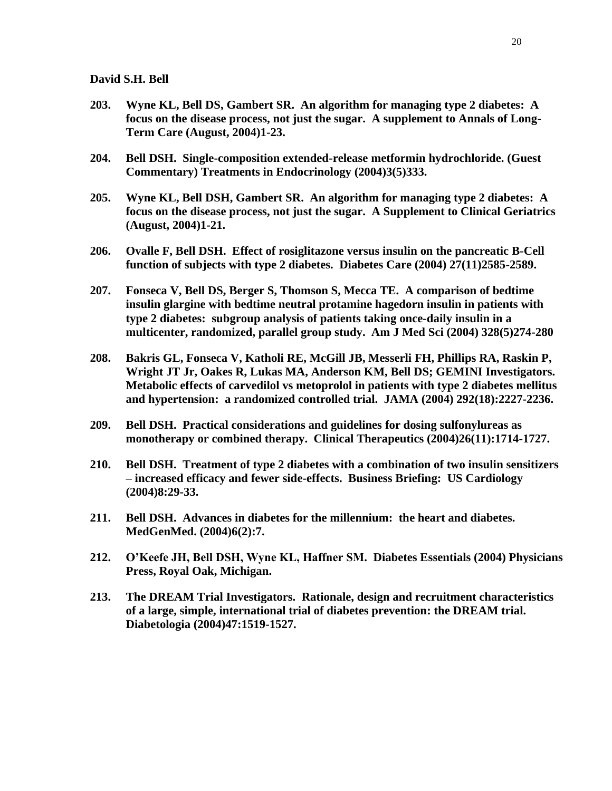- **203. Wyne KL, Bell DS, Gambert SR. An algorithm for managing type 2 diabetes: A focus on the disease process, not just the sugar. A supplement to Annals of Long-Term Care (August, 2004)1-23.**
- **204. Bell DSH. Single-composition extended-release metformin hydrochloride. (Guest Commentary) Treatments in Endocrinology (2004)3(5)333.**
- **205. Wyne KL, Bell DSH, Gambert SR. An algorithm for managing type 2 diabetes: A focus on the disease process, not just the sugar. A Supplement to Clinical Geriatrics (August, 2004)1-21.**
- **206. Ovalle F, Bell DSH. Effect of rosiglitazone versus insulin on the pancreatic B-Cell function of subjects with type 2 diabetes. Diabetes Care (2004) 27(11)2585-2589.**
- **207. Fonseca V, Bell DS, Berger S, Thomson S, Mecca TE. A comparison of bedtime insulin glargine with bedtime neutral protamine hagedorn insulin in patients with type 2 diabetes: subgroup analysis of patients taking once-daily insulin in a multicenter, randomized, parallel group study. Am J Med Sci (2004) 328(5)274-280**
- **208. Bakris GL, Fonseca V, Katholi RE, McGill JB, Messerli FH, Phillips RA, Raskin P, Wright JT Jr, Oakes R, Lukas MA, Anderson KM, Bell DS; GEMINI Investigators. Metabolic effects of carvedilol vs metoprolol in patients with type 2 diabetes mellitus and hypertension: a randomized controlled trial. JAMA (2004) 292(18):2227-2236.**
- **209. Bell DSH. Practical considerations and guidelines for dosing sulfonylureas as monotherapy or combined therapy. Clinical Therapeutics (2004)26(11):1714-1727.**
- **210. Bell DSH. Treatment of type 2 diabetes with a combination of two insulin sensitizers – increased efficacy and fewer side-effects. Business Briefing: US Cardiology (2004)8:29-33.**
- **211. Bell DSH. Advances in diabetes for the millennium: the heart and diabetes. MedGenMed. (2004)6(2):7.**
- **212. O'Keefe JH, Bell DSH, Wyne KL, Haffner SM. Diabetes Essentials (2004) Physicians Press, Royal Oak, Michigan.**
- **213. The DREAM Trial Investigators. Rationale, design and recruitment characteristics of a large, simple, international trial of diabetes prevention: the DREAM trial. Diabetologia (2004)47:1519-1527.**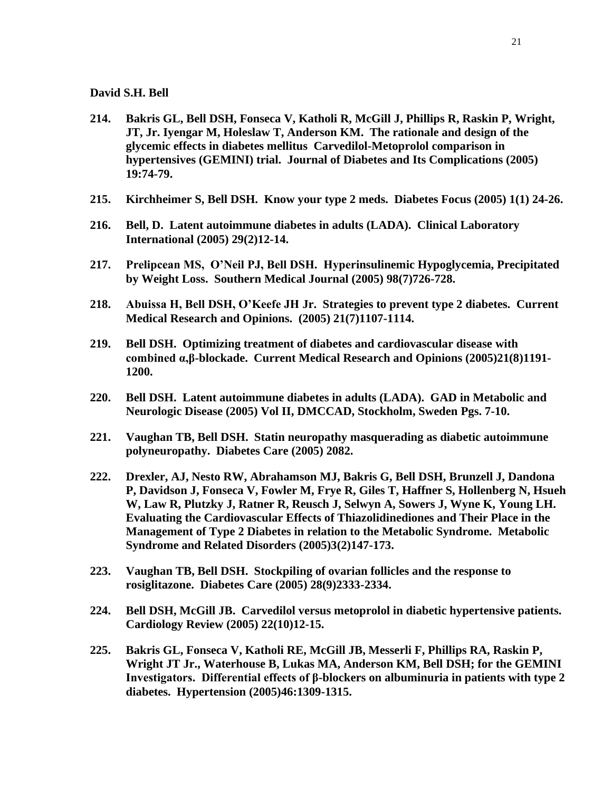- **214. Bakris GL, Bell DSH, Fonseca V, Katholi R, McGill J, Phillips R, Raskin P, Wright, JT, Jr. Iyengar M, Holeslaw T, Anderson KM. The rationale and design of the glycemic effects in diabetes mellitus Carvedilol-Metoprolol comparison in hypertensives (GEMINI) trial. Journal of Diabetes and Its Complications (2005) 19:74-79.**
- **215. Kirchheimer S, Bell DSH. Know your type 2 meds. Diabetes Focus (2005) 1(1) 24-26.**
- **216. Bell, D. Latent autoimmune diabetes in adults (LADA). Clinical Laboratory International (2005) 29(2)12-14.**
- **217. Prelipcean MS, O'Neil PJ, Bell DSH. Hyperinsulinemic Hypoglycemia, Precipitated by Weight Loss. Southern Medical Journal (2005) 98(7)726-728.**
- **218. Abuissa H, Bell DSH, O'Keefe JH Jr. Strategies to prevent type 2 diabetes. Current Medical Research and Opinions. (2005) 21(7)1107-1114.**
- **219. Bell DSH. Optimizing treatment of diabetes and cardiovascular disease with combined α,β-blockade. Current Medical Research and Opinions (2005)21(8)1191- 1200.**
- **220. Bell DSH. Latent autoimmune diabetes in adults (LADA). GAD in Metabolic and Neurologic Disease (2005) Vol II, DMCCAD, Stockholm, Sweden Pgs. 7-10.**
- **221. Vaughan TB, Bell DSH. Statin neuropathy masquerading as diabetic autoimmune polyneuropathy. Diabetes Care (2005) 2082.**
- **222. Drexler, AJ, Nesto RW, Abrahamson MJ, Bakris G, Bell DSH, Brunzell J, Dandona P, Davidson J, Fonseca V, Fowler M, Frye R, Giles T, Haffner S, Hollenberg N, Hsueh W, Law R, Plutzky J, Ratner R, Reusch J, Selwyn A, Sowers J, Wyne K, Young LH. Evaluating the Cardiovascular Effects of Thiazolidinediones and Their Place in the Management of Type 2 Diabetes in relation to the Metabolic Syndrome. Metabolic Syndrome and Related Disorders (2005)3(2)147-173.**
- **223. Vaughan TB, Bell DSH. Stockpiling of ovarian follicles and the response to rosiglitazone. Diabetes Care (2005) 28(9)2333-2334.**
- **224. Bell DSH, McGill JB. Carvedilol versus metoprolol in diabetic hypertensive patients. Cardiology Review (2005) 22(10)12-15.**
- **225. Bakris GL, Fonseca V, Katholi RE, McGill JB, Messerli F, Phillips RA, Raskin P, Wright JT Jr., Waterhouse B, Lukas MA, Anderson KM, Bell DSH; for the GEMINI Investigators. Differential effects of β-blockers on albuminuria in patients with type 2 diabetes. Hypertension (2005)46:1309-1315.**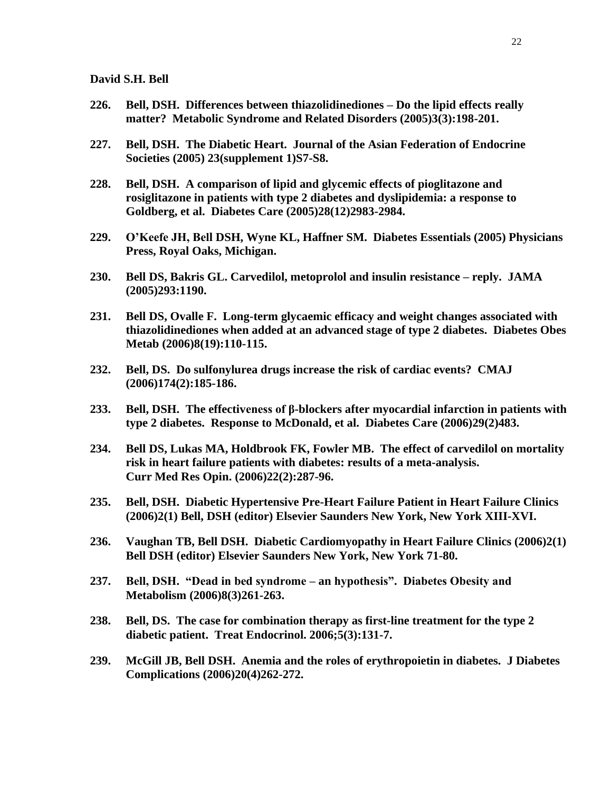- **226. Bell, DSH. Differences between thiazolidinediones – Do the lipid effects really matter? Metabolic Syndrome and Related Disorders (2005)3(3):198-201.**
- **227. Bell, DSH. The Diabetic Heart. Journal of the Asian Federation of Endocrine Societies (2005) 23(supplement 1)S7-S8.**
- **228. Bell, DSH. A comparison of lipid and glycemic effects of pioglitazone and rosiglitazone in patients with type 2 diabetes and dyslipidemia: a response to Goldberg, et al. Diabetes Care (2005)28(12)2983-2984.**
- **229. O'Keefe JH, Bell DSH, Wyne KL, Haffner SM. Diabetes Essentials (2005) Physicians Press, Royal Oaks, Michigan.**
- **230. Bell DS, Bakris GL. Carvedilol, metoprolol and insulin resistance – reply. JAMA (2005)293:1190.**
- **231. Bell DS, Ovalle F. Long-term glycaemic efficacy and weight changes associated with thiazolidinediones when added at an advanced stage of type 2 diabetes. Diabetes Obes Metab (2006)8(19):110-115.**
- **232. Bell, DS. Do sulfonylurea drugs increase the risk of cardiac events? CMAJ (2006)174(2):185-186.**
- **233. Bell, DSH. The effectiveness of β-blockers after myocardial infarction in patients with type 2 diabetes. Response to McDonald, et al. Diabetes Care (2006)29(2)483.**
- **234. Bell DS, Lukas MA, Holdbrook FK, Fowler MB. The effect of carvedilol on mortality risk in heart failure patients with diabetes: results of a meta-analysis. Curr Med Res Opin. (2006)22(2):287-96.**
- **235. Bell, DSH. Diabetic Hypertensive Pre-Heart Failure Patient in Heart Failure Clinics (2006)2(1) Bell, DSH (editor) Elsevier Saunders New York, New York XIII-XVI.**
- **236. Vaughan TB, Bell DSH. Diabetic Cardiomyopathy in Heart Failure Clinics (2006)2(1) Bell DSH (editor) Elsevier Saunders New York, New York 71-80.**
- **237. Bell, DSH. "Dead in bed syndrome – an hypothesis". Diabetes Obesity and Metabolism (2006)8(3)261-263.**
- **238. Bell, DS. The case for combination therapy as first-line treatment for the type 2 diabetic patient. Treat Endocrinol. 2006;5(3):131-7.**
- **239. McGill JB, Bell DSH. Anemia and the roles of erythropoietin in diabetes. J Diabetes Complications (2006)20(4)262-272.**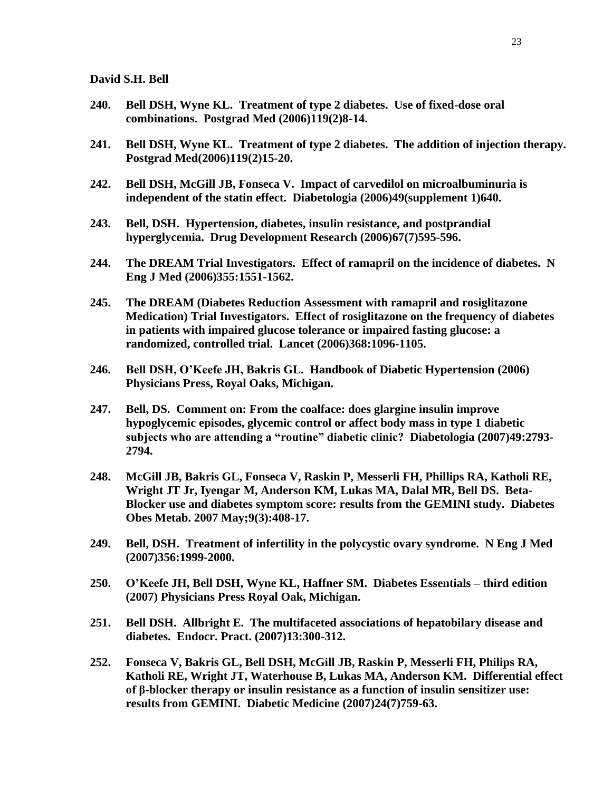- **240. Bell DSH, Wyne KL. Treatment of type 2 diabetes. Use of fixed-dose oral combinations. Postgrad Med (2006)119(2)8-14.**
- **241. Bell DSH, Wyne KL. Treatment of type 2 diabetes. The addition of injection therapy. Postgrad Med(2006)119(2)15-20.**
- **242. Bell DSH, McGill JB, Fonseca V. Impact of carvedilol on microalbuminuria is independent of the statin effect. Diabetologia (2006)49(supplement 1)640.**
- **243. Bell, DSH. Hypertension, diabetes, insulin resistance, and postprandial hyperglycemia. Drug Development Research (2006)67(7)595-596.**
- **244. The DREAM Trial Investigators. Effect of ramapril on the incidence of diabetes. N Eng J Med (2006)355:1551-1562.**
- **245. The DREAM (Diabetes Reduction Assessment with ramapril and rosiglitazone Medication) Trial Investigators. Effect of rosiglitazone on the frequency of diabetes in patients with impaired glucose tolerance or impaired fasting glucose: a randomized, controlled trial. Lancet (2006)368:1096-1105.**
- **246. Bell DSH, O'Keefe JH, Bakris GL. Handbook of Diabetic Hypertension (2006) Physicians Press, Royal Oaks, Michigan.**
- **247. Bell, DS. Comment on: From the coalface: does glargine insulin improve hypoglycemic episodes, glycemic control or affect body mass in type 1 diabetic subjects who are attending a "routine" diabetic clinic? Diabetologia (2007)49:2793- 2794.**
- **248. McGill JB, [Bakris GL,](http://www.ncbi.nlm.nih.gov/entrez/query.fcgi?db=pubmed&cmd=Search&itool=pubmed_AbstractPlus&term=%22Bakris+GL%22%5BAuthor%5D) [Fonseca V,](http://www.ncbi.nlm.nih.gov/entrez/query.fcgi?db=pubmed&cmd=Search&itool=pubmed_AbstractPlus&term=%22Fonseca+V%22%5BAuthor%5D) [Raskin P,](http://www.ncbi.nlm.nih.gov/entrez/query.fcgi?db=pubmed&cmd=Search&itool=pubmed_AbstractPlus&term=%22Raskin+P%22%5BAuthor%5D) [Messerli FH,](http://www.ncbi.nlm.nih.gov/entrez/query.fcgi?db=pubmed&cmd=Search&itool=pubmed_AbstractPlus&term=%22Messerli+FH%22%5BAuthor%5D) [Phillips RA,](http://www.ncbi.nlm.nih.gov/entrez/query.fcgi?db=pubmed&cmd=Search&itool=pubmed_AbstractPlus&term=%22Phillips+RA%22%5BAuthor%5D) [Katholi RE,](http://www.ncbi.nlm.nih.gov/entrez/query.fcgi?db=pubmed&cmd=Search&itool=pubmed_AbstractPlus&term=%22Katholi+RE%22%5BAuthor%5D) [Wright JT Jr,](http://www.ncbi.nlm.nih.gov/entrez/query.fcgi?db=pubmed&cmd=Search&itool=pubmed_AbstractPlus&term=%22Wright+JT+Jr%22%5BAuthor%5D) [Iyengar M,](http://www.ncbi.nlm.nih.gov/entrez/query.fcgi?db=pubmed&cmd=Search&itool=pubmed_AbstractPlus&term=%22Iyengar+M%22%5BAuthor%5D) [Anderson KM,](http://www.ncbi.nlm.nih.gov/entrez/query.fcgi?db=pubmed&cmd=Search&itool=pubmed_AbstractPlus&term=%22Anderson+KM%22%5BAuthor%5D) [Lukas MA,](http://www.ncbi.nlm.nih.gov/entrez/query.fcgi?db=pubmed&cmd=Search&itool=pubmed_AbstractPlus&term=%22Lukas+MA%22%5BAuthor%5D) [Dalal MR,](http://www.ncbi.nlm.nih.gov/entrez/query.fcgi?db=pubmed&cmd=Search&itool=pubmed_AbstractPlus&term=%22Dalal+MR%22%5BAuthor%5D) [Bell DS.](http://www.ncbi.nlm.nih.gov/entrez/query.fcgi?db=pubmed&cmd=Search&itool=pubmed_AbstractPlus&term=%22Bell+DS%22%5BAuthor%5D) Beta-Blocker use and diabetes symptom score: results from the GEMINI study. [Diabetes](javascript:AL_get(this,%20)  [Obes Metab.](javascript:AL_get(this,%20) 2007 May;9(3):408-17.**
- **249. Bell, DSH. Treatment of infertility in the polycystic ovary syndrome. N Eng J Med (2007)356:1999-2000.**
- **250. O'Keefe JH, Bell DSH, Wyne KL, Haffner SM. Diabetes Essentials – third edition (2007) Physicians Press Royal Oak, Michigan.**
- **251. Bell DSH. Allbright E. The multifaceted associations of hepatobilary disease and diabetes. Endocr. Pract. (2007)13:300-312.**
- **252. Fonseca V, Bakris GL, Bell DSH, McGill JB, Raskin P, Messerli FH, Philips RA, Katholi RE, Wright JT, Waterhouse B, Lukas MA, Anderson KM. Differential effect of β-blocker therapy or insulin resistance as a function of insulin sensitizer use: results from GEMINI. Diabetic Medicine (2007)24(7)759-63.**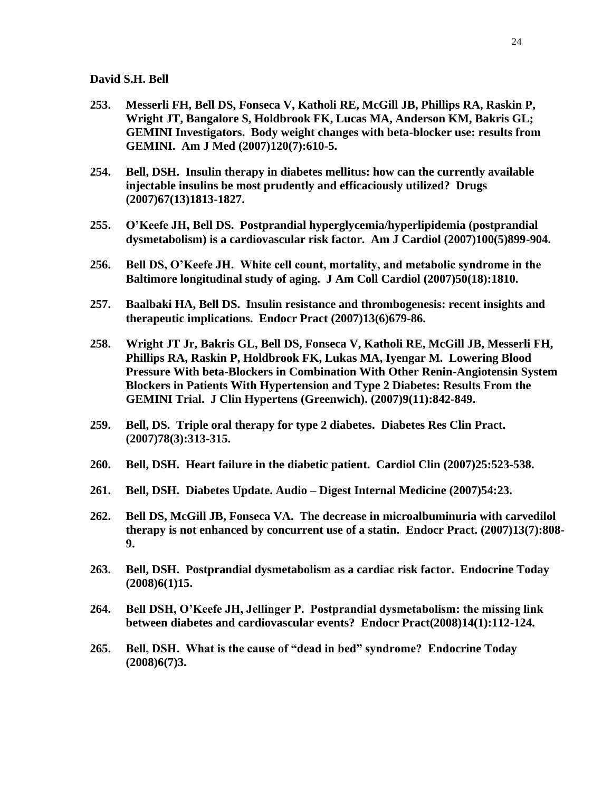- **253. Messerli FH, Bell DS, Fonseca V, Katholi RE, McGill JB, Phillips RA, Raskin P, Wright JT, Bangalore S, Holdbrook FK, Lucas MA, Anderson KM, Bakris GL; GEMINI Investigators. Body weight changes with beta-blocker use: results from GEMINI. Am J Med (2007)120(7):610-5.**
- **254. Bell, DSH. Insulin therapy in diabetes mellitus: how can the currently available injectable insulins be most prudently and efficaciously utilized? Drugs (2007)67(13)1813-1827.**
- **255. O'Keefe JH, Bell DS. Postprandial hyperglycemia/hyperlipidemia (postprandial dysmetabolism) is a cardiovascular risk factor. Am J Cardiol (2007)100(5)899-904.**
- **256. Bell DS, O'Keefe JH. White cell count, mortality, and metabolic syndrome in the Baltimore longitudinal study of aging. J Am Coll Cardiol (2007)50(18):1810.**
- **257. Baalbaki HA, Bell DS. Insulin resistance and thrombogenesis: recent insights and therapeutic implications. Endocr Pract (2007)13(6)679-86.**
- **258. [Wright JT Jr,](http://www.ncbi.nlm.nih.gov/sites/entrez?Db=PubMed&Cmd=Search&Term=%22Wright%20JT%20Jr%22%5BAuthor%5D&itool=EntrezSystem2.PEntrez.Pubmed.Pubmed_ResultsPanel.Pubmed_RVAbstractPlus) [Bakris GL,](http://www.ncbi.nlm.nih.gov/sites/entrez?Db=PubMed&Cmd=Search&Term=%22Bakris%20GL%22%5BAuthor%5D&itool=EntrezSystem2.PEntrez.Pubmed.Pubmed_ResultsPanel.Pubmed_RVAbstractPlus) [Bell](http://www.ncbi.nlm.nih.gov/sites/entrez?Db=PubMed&Cmd=Search&Term=%22Bell%20DS%22%5BAuthor%5D&itool=EntrezSystem2.PEntrez.Pubmed.Pubmed_ResultsPanel.Pubmed_RVAbstractPlus) DS, [Fonseca V,](http://www.ncbi.nlm.nih.gov/sites/entrez?Db=PubMed&Cmd=Search&Term=%22Fonseca%20V%22%5BAuthor%5D&itool=EntrezSystem2.PEntrez.Pubmed.Pubmed_ResultsPanel.Pubmed_RVAbstractPlus) [Katholi RE,](http://www.ncbi.nlm.nih.gov/sites/entrez?Db=PubMed&Cmd=Search&Term=%22Katholi%20RE%22%5BAuthor%5D&itool=EntrezSystem2.PEntrez.Pubmed.Pubmed_ResultsPanel.Pubmed_RVAbstractPlus) [McGill JB,](http://www.ncbi.nlm.nih.gov/sites/entrez?Db=PubMed&Cmd=Search&Term=%22McGill%20JB%22%5BAuthor%5D&itool=EntrezSystem2.PEntrez.Pubmed.Pubmed_ResultsPanel.Pubmed_RVAbstractPlus) [Messerli FH,](http://www.ncbi.nlm.nih.gov/sites/entrez?Db=PubMed&Cmd=Search&Term=%22Messerli%20FH%22%5BAuthor%5D&itool=EntrezSystem2.PEntrez.Pubmed.Pubmed_ResultsPanel.Pubmed_RVAbstractPlus) [Phillips RA,](http://www.ncbi.nlm.nih.gov/sites/entrez?Db=PubMed&Cmd=Search&Term=%22Phillips%20RA%22%5BAuthor%5D&itool=EntrezSystem2.PEntrez.Pubmed.Pubmed_ResultsPanel.Pubmed_RVAbstractPlus) [Raskin P,](http://www.ncbi.nlm.nih.gov/sites/entrez?Db=PubMed&Cmd=Search&Term=%22Raskin%20P%22%5BAuthor%5D&itool=EntrezSystem2.PEntrez.Pubmed.Pubmed_ResultsPanel.Pubmed_RVAbstractPlus) [Holdbrook FK,](http://www.ncbi.nlm.nih.gov/sites/entrez?Db=PubMed&Cmd=Search&Term=%22Holdbrook%20FK%22%5BAuthor%5D&itool=EntrezSystem2.PEntrez.Pubmed.Pubmed_ResultsPanel.Pubmed_RVAbstractPlus) [Lukas MA,](http://www.ncbi.nlm.nih.gov/sites/entrez?Db=PubMed&Cmd=Search&Term=%22Lukas%20MA%22%5BAuthor%5D&itool=EntrezSystem2.PEntrez.Pubmed.Pubmed_ResultsPanel.Pubmed_RVAbstractPlus) [Iyengar M.](http://www.ncbi.nlm.nih.gov/sites/entrez?Db=PubMed&Cmd=Search&Term=%22Iyengar%20M%22%5BAuthor%5D&itool=EntrezSystem2.PEntrez.Pubmed.Pubmed_ResultsPanel.Pubmed_RVAbstractPlus) Lowering Blood Pressure With beta-Blockers in Combination With Other Renin-Angiotensin System Blockers in Patients With Hypertension and Type 2 Diabetes: Results From the GEMINI Trial. [J Clin Hypertens \(Greenwich\).](javascript:AL_get(this,%20) (2007)9(11):842-849.**
- **259. Bell, DS. Triple oral therapy for type 2 diabetes. Diabetes Res Clin Pract. (2007)78(3):313-315.**
- **260. Bell, DSH. Heart failure in the diabetic patient. Cardiol Clin (2007)25:523-538.**
- **261. Bell, DSH. Diabetes Update. Audio – Digest Internal Medicine (2007)54:23.**
- **262. [Bell DS,](http://www.ncbi.nlm.nih.gov/sites/entrez?Db=pubmed&Cmd=Search&Term=%22Bell%20DS%22%5BAuthor%5D&itool=EntrezSystem2.PEntrez.Pubmed.Pubmed_ResultsPanel.Pubmed_RVAbstractPlusDrugs2) [McGill JB,](http://www.ncbi.nlm.nih.gov/sites/entrez?Db=pubmed&Cmd=Search&Term=%22McGill%20JB%22%5BAuthor%5D&itool=EntrezSystem2.PEntrez.Pubmed.Pubmed_ResultsPanel.Pubmed_RVAbstractPlusDrugs2) [Fonseca VA.](http://www.ncbi.nlm.nih.gov/sites/entrez?Db=pubmed&Cmd=Search&Term=%22Fonseca%20VA%22%5BAuthor%5D&itool=EntrezSystem2.PEntrez.Pubmed.Pubmed_ResultsPanel.Pubmed_RVAbstractPlusDrugs2) The decrease in microalbuminuria with carvedilol therapy is not enhanced by concurrent use of a statin. [Endocr Pract.](javascript:AL_get(this,%20) (2007)13(7):808- 9.**
- **263. Bell, DSH. Postprandial dysmetabolism as a cardiac risk factor. Endocrine Today (2008)6(1)15.**
- **264. Bell DSH, O'Keefe JH, Jellinger P. Postprandial dysmetabolism: the missing link between diabetes and cardiovascular events? Endocr Pract(2008)14(1):112-124.**
- **265. Bell, DSH. What is the cause of "dead in bed" syndrome? Endocrine Today (2008)6(7)3.**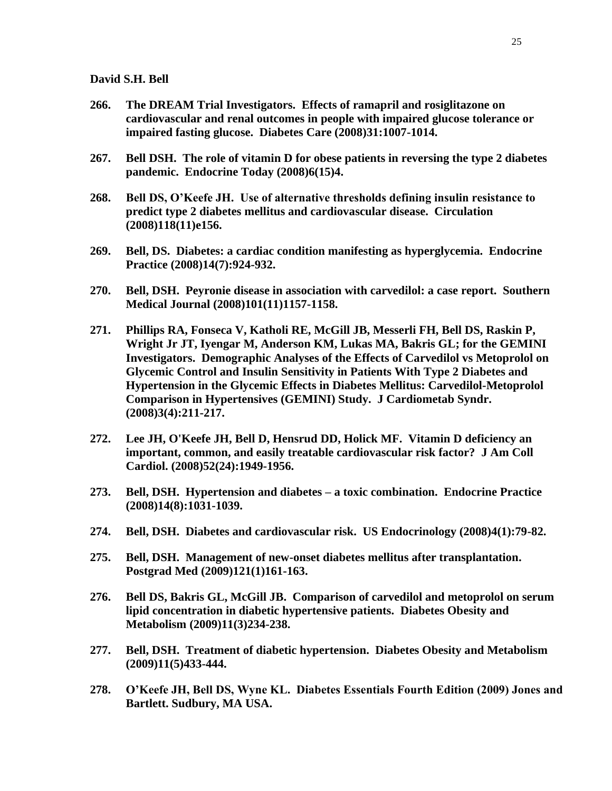- **266. The DREAM Trial Investigators. Effects of ramapril and rosiglitazone on cardiovascular and renal outcomes in people with impaired glucose tolerance or impaired fasting glucose. Diabetes Care (2008)31:1007-1014.**
- **267. Bell DSH. The role of vitamin D for obese patients in reversing the type 2 diabetes pandemic. Endocrine Today (2008)6(15)4.**
- **268. Bell DS, O'Keefe JH. Use of alternative thresholds defining insulin resistance to predict type 2 diabetes mellitus and cardiovascular disease. Circulation (2008)118(11)e156.**
- **269. Bell, DS. Diabetes: a cardiac condition manifesting as hyperglycemia. Endocrine Practice (2008)14(7):924-932.**
- **270. Bell, DSH. Peyronie disease in association with carvedilol: a case report. Southern Medical Journal (2008)101(11)1157-1158.**
- **271. Phillips RA, Fonseca V, Katholi RE, McGill JB, Messerli FH, Bell DS, Raskin P, Wright Jr JT, Iyengar M, Anderson KM, Lukas MA, Bakris GL; for the GEMINI Investigators. [Demographic Analyses of the Effects of Carvedilol vs Metoprolol on](http://www.ncbi.nlm.nih.gov/pubmed/19040589?ordinalpos=1&itool=EntrezSystem2.PEntrez.Pubmed.Pubmed_ResultsPanel.Pubmed_DefaultReportPanel.Pubmed_RVDocSum)  [Glycemic Control and Insulin Sensitivity in Patients With Type 2 Diabetes and](http://www.ncbi.nlm.nih.gov/pubmed/19040589?ordinalpos=1&itool=EntrezSystem2.PEntrez.Pubmed.Pubmed_ResultsPanel.Pubmed_DefaultReportPanel.Pubmed_RVDocSum) [Hypertension in the Glycemic Effects in Diabetes Mellitus: Carvedilol-Metoprolol](http://www.ncbi.nlm.nih.gov/pubmed/19040589?ordinalpos=1&itool=EntrezSystem2.PEntrez.Pubmed.Pubmed_ResultsPanel.Pubmed_DefaultReportPanel.Pubmed_RVDocSum)  [Comparison in Hypertensives \(GEMINI\) Study.](http://www.ncbi.nlm.nih.gov/pubmed/19040589?ordinalpos=1&itool=EntrezSystem2.PEntrez.Pubmed.Pubmed_ResultsPanel.Pubmed_DefaultReportPanel.Pubmed_RVDocSum) J Cardiometab Syndr. (2008)3(4):211-217.**
- **272. [Lee JH,](http://www.ncbi.nlm.nih.gov/sites/entrez?Db=pubmed&Cmd=Search&Term=%22Lee%20JH%22%5BAuthor%5D&itool=EntrezSystem2.PEntrez.Pubmed.Pubmed_ResultsPanel.Pubmed_DiscoveryPanel.Pubmed_RVAbstractPlus) [O'Keefe JH,](http://www.ncbi.nlm.nih.gov/sites/entrez?Db=pubmed&Cmd=Search&Term=%22O) [Bell D,](http://www.ncbi.nlm.nih.gov/sites/entrez?Db=pubmed&Cmd=Search&Term=%22Bell%20D%22%5BAuthor%5D&itool=EntrezSystem2.PEntrez.Pubmed.Pubmed_ResultsPanel.Pubmed_DiscoveryPanel.Pubmed_RVAbstractPlus) [Hensrud DD,](http://www.ncbi.nlm.nih.gov/sites/entrez?Db=pubmed&Cmd=Search&Term=%22Hensrud%20DD%22%5BAuthor%5D&itool=EntrezSystem2.PEntrez.Pubmed.Pubmed_ResultsPanel.Pubmed_DiscoveryPanel.Pubmed_RVAbstractPlus) [Holick MF.](http://www.ncbi.nlm.nih.gov/sites/entrez?Db=pubmed&Cmd=Search&Term=%22Holick%20MF%22%5BAuthor%5D&itool=EntrezSystem2.PEntrez.Pubmed.Pubmed_ResultsPanel.Pubmed_DiscoveryPanel.Pubmed_RVAbstractPlus) Vitamin D deficiency an important, common, and easily treatable cardiovascular risk factor? [J Am Coll](javascript:AL_get(this,%20)  [Cardiol.](javascript:AL_get(this,%20) (2008)52(24):1949-1956.**
- **273. Bell, DSH. Hypertension and diabetes – a toxic combination. Endocrine Practice (2008)14(8):1031-1039.**
- **274. Bell, DSH. Diabetes and cardiovascular risk. US Endocrinology (2008)4(1):79-82.**
- **275. Bell, DSH. Management of new-onset diabetes mellitus after transplantation. Postgrad Med (2009)121(1)161-163.**
- **276. Bell DS, Bakris GL, McGill JB. Comparison of carvedilol and metoprolol on serum lipid concentration in diabetic hypertensive patients. Diabetes Obesity and Metabolism (2009)11(3)234-238.**
- **277. Bell, DSH. Treatment of diabetic hypertension. Diabetes Obesity and Metabolism (2009)11(5)433-444.**
- **278. O'Keefe JH, Bell DS, Wyne KL. Diabetes Essentials Fourth Edition (2009) Jones and Bartlett. Sudbury, MA USA.**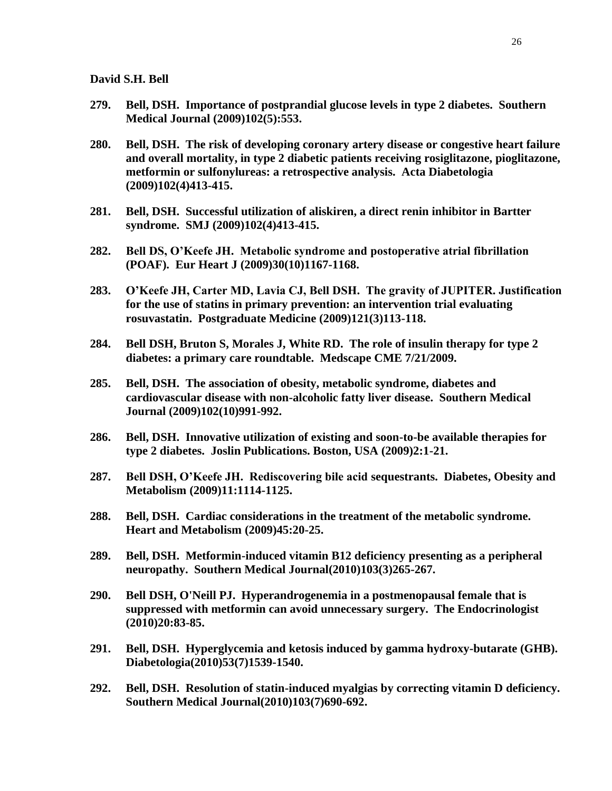- **279. Bell, DSH. Importance of postprandial glucose levels in type 2 diabetes. Southern Medical Journal (2009)102(5):553.**
- **280. Bell, DSH. The risk of developing coronary artery disease or congestive heart failure and overall mortality, in type 2 diabetic patients receiving rosiglitazone, pioglitazone, metformin or sulfonylureas: a retrospective analysis. Acta Diabetologia (2009)102(4)413-415.**
- **281. Bell, DSH. Successful utilization of aliskiren, a direct renin inhibitor in Bartter syndrome. SMJ (2009)102(4)413-415.**
- **282. Bell DS, O'Keefe JH. Metabolic syndrome and postoperative atrial fibrillation (POAF). Eur Heart J (2009)30(10)1167-1168.**
- **283. O'Keefe JH, Carter MD, Lavia CJ, Bell DSH. The gravity of JUPITER. Justification for the use of statins in primary prevention: an intervention trial evaluating rosuvastatin. Postgraduate Medicine (2009)121(3)113-118.**
- **284. Bell DSH, Bruton S, Morales J, White RD. The role of insulin therapy for type 2 diabetes: a primary care roundtable. Medscape CME 7/21/2009.**
- **285. Bell, DSH. The association of obesity, metabolic syndrome, diabetes and cardiovascular disease with non-alcoholic fatty liver disease. Southern Medical Journal (2009)102(10)991-992.**
- **286. Bell, DSH. Innovative utilization of existing and soon-to-be available therapies for type 2 diabetes. Joslin Publications. Boston, USA (2009)2:1-21.**
- **287. Bell DSH, O'Keefe JH. Rediscovering bile acid sequestrants. Diabetes, Obesity and Metabolism (2009)11:1114-1125.**
- **288. Bell, DSH. Cardiac considerations in the treatment of the metabolic syndrome. Heart and Metabolism (2009)45:20-25.**
- **289. Bell, DSH. Metformin-induced vitamin B12 deficiency presenting as a peripheral neuropathy. Southern Medical Journal(2010)103(3)265-267.**
- **290. Bell DSH, O'Neill PJ. Hyperandrogenemia in a postmenopausal female that is suppressed with metformin can avoid unnecessary surgery. The Endocrinologist (2010)20:83-85.**
- **291. Bell, DSH. Hyperglycemia and ketosis induced by gamma hydroxy-butarate (GHB). Diabetologia(2010)53(7)1539-1540.**
- **292. Bell, DSH. Resolution of statin-induced myalgias by correcting vitamin D deficiency. Southern Medical Journal(2010)103(7)690-692.**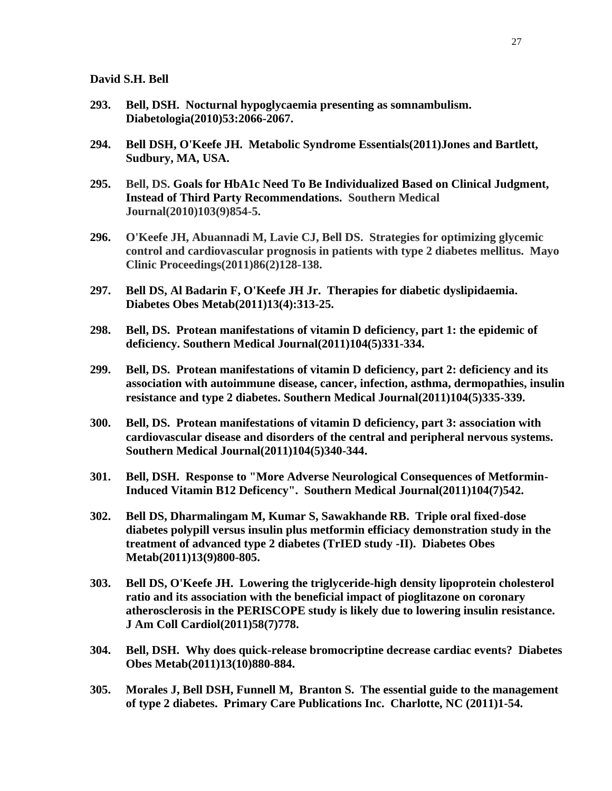- **293. Bell, DSH. Nocturnal hypoglycaemia presenting as somnambulism. Diabetologia(2010)53:2066-2067.**
- **294. Bell DSH, O'Keefe JH. Metabolic Syndrome Essentials(2011)Jones and Bartlett, Sudbury, MA, USA.**
- **295. Bell, DS. Goals for HbA1c Need To Be Individualized Based on Clinical Judgment, Instead of Third Party Recommendations. Southern Medical Journal(2010)103(9)854-5.**
- **296. O'Keefe JH, Abuannadi M, Lavie CJ, Bell DS. Strategies for optimizing glycemic control and cardiovascular prognosis in patients with type 2 diabetes mellitus. Mayo Clinic Proceedings(2011)86(2)128-138.**
- **297. [Bell DS,](http://www.ncbi.nlm.nih.gov/pubmed?term=%22Bell%20DS%22%5BAuthor%5D) [Al Badarin F,](http://www.ncbi.nlm.nih.gov/pubmed?term=%22Al%20Badarin%20F%22%5BAuthor%5D) [O'Keefe JH Jr.](http://www.ncbi.nlm.nih.gov/pubmed?term=%22O) Therapies for diabetic dyslipidaemia. [Diabetes Obes](javascript:AL_get(this,%20) Metab(2011)13(4):313-25.**
- **298. Bell, DS. Protean manifestations of vitamin D deficiency, part 1: the epidemic of deficiency. Southern Medical Journal(2011)104(5)331-334.**
- **299. Bell, DS. Protean manifestations of vitamin D deficiency, part 2: deficiency and its association with autoimmune disease, cancer, infection, asthma, dermopathies, insulin resistance and type 2 diabetes. Southern Medical Journal(2011)104(5)335-339.**
- **300. Bell, DS. Protean manifestations of vitamin D deficiency, part 3: association with cardiovascular disease and disorders of the central and peripheral nervous systems. Southern Medical Journal(2011)104(5)340-344.**
- **301. Bell, DSH. Response to "More Adverse Neurological Consequences of Metformin-Induced Vitamin B12 Deficency". Southern Medical Journal(2011)104(7)542.**
- **302. Bell DS, Dharmalingam M, Kumar S, Sawakhande RB. Triple oral fixed-dose diabetes polypill versus insulin plus metformin efficiacy demonstration study in the treatment of advanced type 2 diabetes (TrIED study -II). Diabetes Obes Metab(2011)13(9)800-805.**
- **303. Bell DS, O'Keefe JH. Lowering the triglyceride-high density lipoprotein cholesterol ratio and its association with the beneficial impact of pioglitazone on coronary atherosclerosis in the PERISCOPE study is likely due to lowering insulin resistance. J Am Coll Cardiol(2011)58(7)778.**
- **304. Bell, DSH. Why does quick-release bromocriptine decrease cardiac events? Diabetes Obes Metab(2011)13(10)880-884.**
- **305. Morales J, Bell DSH, Funnell M, Branton S. The essential guide to the management of type 2 diabetes. Primary Care Publications Inc. Charlotte, NC (2011)1-54.**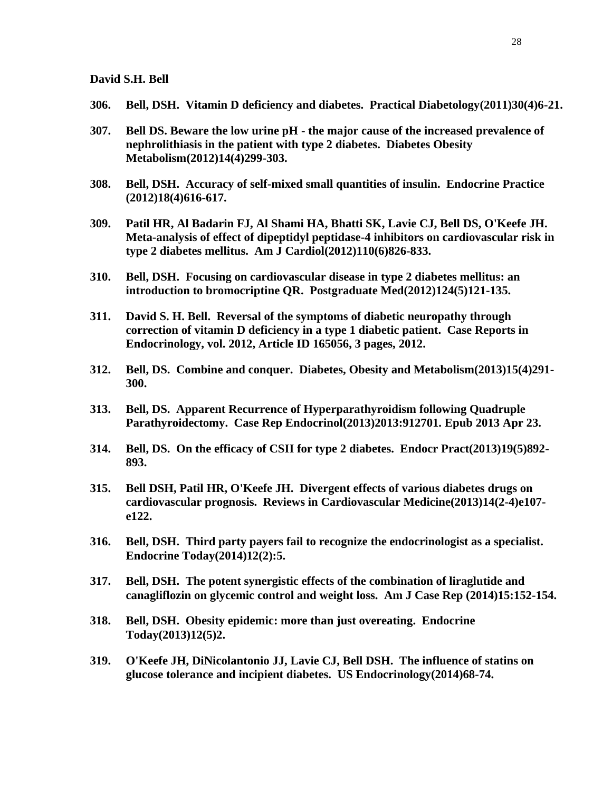- **306. Bell, DSH. Vitamin D deficiency and diabetes. Practical Diabetology(2011)30(4)6-21.**
- **307. Bell DS. Beware the low urine pH - the major cause of the increased prevalence of nephrolithiasis in the patient with type 2 diabetes. Diabetes Obesity Metabolism(2012)14(4)299-303.**
- **308. Bell, DSH. Accuracy of self-mixed small quantities of insulin. Endocrine Practice (2012)18(4)616-617.**
- **309. [Patil HR,](http://www.ncbi.nlm.nih.gov/pubmed?term=Patil%20HR%5BAuthor%5D&cauthor=true&cauthor_uid=22703861) [Al Badarin FJ,](http://www.ncbi.nlm.nih.gov/pubmed?term=Al%20Badarin%20FJ%5BAuthor%5D&cauthor=true&cauthor_uid=22703861) [Al Shami HA,](http://www.ncbi.nlm.nih.gov/pubmed?term=Al%20Shami%20HA%5BAuthor%5D&cauthor=true&cauthor_uid=22703861) [Bhatti SK,](http://www.ncbi.nlm.nih.gov/pubmed?term=Bhatti%20SK%5BAuthor%5D&cauthor=true&cauthor_uid=22703861) [Lavie CJ,](http://www.ncbi.nlm.nih.gov/pubmed?term=Lavie%20CJ%5BAuthor%5D&cauthor=true&cauthor_uid=22703861) [Bell DS,](http://www.ncbi.nlm.nih.gov/pubmed?term=Bell%20DS%5BAuthor%5D&cauthor=true&cauthor_uid=22703861) [O'Keefe JH.](http://www.ncbi.nlm.nih.gov/pubmed?term=O) Meta-analysis of effect of dipeptidyl peptidase-4 inhibitors on cardiovascular risk in type 2 diabetes mellitus. [Am J Cardiol\(2](http://www.ncbi.nlm.nih.gov/pubmed?term=%22The+American+journal+of+cardiology%22%5BJour%5D+AND+826%5Bpage%5D+AND+2012%5Bpdat%5D&cmd=detailssearch)012)110(6)826-833.**
- **310. Bell, DSH. Focusing on cardiovascular disease in type 2 diabetes mellitus: an introduction to bromocriptine QR. Postgraduate Med(2012)124(5)121-135.**
- **311. David S. H. Bell. Reversal of the symptoms of diabetic neuropathy through correction of vitamin D deficiency in a type 1 diabetic patient. Case Reports in Endocrinology, vol. 2012, Article ID 165056, 3 pages, 2012.**
- **312. Bell, DS. Combine and conquer. Diabetes, Obesity and Metabolism(2013)15(4)291- 300.**
- **313. Bell, DS. [Apparent Recurrence of Hyperparathyroidism following Quadruple](http://www.ncbi.nlm.nih.gov/pubmed/23710381)  [Parathyroidectomy.](http://www.ncbi.nlm.nih.gov/pubmed/23710381) Case Rep Endocrinol(2013)2013:912701. Epub 2013 Apr 23.**
- **314. Bell, DS. On the efficacy of CSII for type 2 diabetes. Endocr Pract(2013)19(5)892- 893.**
- **315. Bell DSH, Patil HR, O'Keefe JH. Divergent effects of various diabetes drugs on cardiovascular prognosis. Reviews in Cardiovascular Medicine(2013)14(2-4)e107 e122.**
- **316. Bell, DSH. Third party payers fail to recognize the endocrinologist as a specialist. Endocrine Today(2014)12(2):5.**
- **317. Bell, DSH. The potent synergistic effects of the combination of liraglutide and canagliflozin on glycemic control and weight loss. Am J Case Rep (2014)15:152-154.**
- **318. Bell, DSH. Obesity epidemic: more than just overeating. Endocrine Today(2013)12(5)2.**
- **319. O'Keefe JH, DiNicolantonio JJ, Lavie CJ, Bell DSH. The influence of statins on glucose tolerance and incipient diabetes. US Endocrinology(2014)68-74.**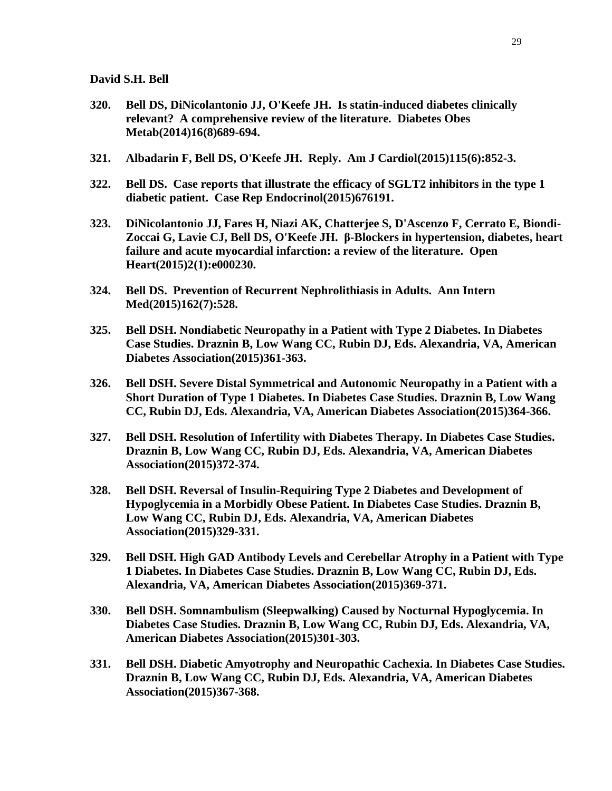- **320. Bell DS, DiNicolantonio JJ, O'Keefe JH. Is statin-induced diabetes clinically relevant? A comprehensive review of the literature. Diabetes Obes Metab(2014)16(8)689-694.**
- **321. [Albadarin F,](http://www.ncbi.nlm.nih.gov/pubmed/?term=Albadarin%20F%5BAuthor%5D&cauthor=true&cauthor_uid=25728847) [Bell DS,](http://www.ncbi.nlm.nih.gov/pubmed/?term=Bell%20DS%5BAuthor%5D&cauthor=true&cauthor_uid=25728847) [O'Keefe JH.](http://www.ncbi.nlm.nih.gov/pubmed/?term=O) Reply. [Am J Cardiol\(2](http://www.ncbi.nlm.nih.gov/pubmed?term=%22The+American+journal+of+cardiology%22%5BJour%5D+AND+2015%5Bpdat%5D+AND+Bell+DS%5Bauthor%5D&cmd=detailssearch)015)115(6):852-3.**
- **322. Bell DS. Case reports that illustrate the efficacy of SGLT2 inhibitors in the type 1 diabetic patient. [Case Rep Endocrinol\(2](http://www.ncbi.nlm.nih.gov/pubmed?term=%22Case+reports+in+endocrinology%22%5BJour%5D+AND+2015%5Bpdat%5D+AND+Bell+DS%5Bauthor%5D&cmd=detailssearch)015)676191.**
- **323. DiNicolantonio JJ, Fares H, Niazi AK, Chatterjee S, D'Ascenzo F, Cerrato E, Biondi-Zoccai G, Lavie CJ, Bell DS, O'Keefe JH. [β-Blockers in hypertension, diabetes, heart](http://www.ncbi.nlm.nih.gov/pubmed/25821584)  [failure and acute myocardial infarction: a review of the literature.](http://www.ncbi.nlm.nih.gov/pubmed/25821584) Open Heart(2015)2(1):e000230.**
- **324. Bell DS. [Prevention of Recurrent Nephrolithiasis in](http://www.ncbi.nlm.nih.gov/pubmed/25845007) Adults. Ann Intern Med(2015)162(7):528.**
- **325. Bell DSH. Nondiabetic Neuropathy in a Patient with Type 2 Diabetes. In Diabetes Case Studies. Draznin B, Low Wang CC, Rubin DJ, Eds. Alexandria, VA, American Diabetes Association(2015)361-363.**
- **326. Bell DSH. Severe Distal Symmetrical and Autonomic Neuropathy in a Patient with a Short Duration of Type 1 Diabetes. In Diabetes Case Studies. Draznin B, Low Wang CC, Rubin DJ, Eds. Alexandria, VA, American Diabetes Association(2015)364-366.**
- **327. Bell DSH. Resolution of Infertility with Diabetes Therapy. In Diabetes Case Studies. Draznin B, Low Wang CC, Rubin DJ, Eds. Alexandria, VA, American Diabetes Association(2015)372-374.**
- **328. Bell DSH. Reversal of Insulin-Requiring Type 2 Diabetes and Development of Hypoglycemia in a Morbidly Obese Patient. In Diabetes Case Studies. Draznin B, Low Wang CC, Rubin DJ, Eds. Alexandria, VA, American Diabetes Association(2015)329-331.**
- **329. Bell DSH. High GAD Antibody Levels and Cerebellar Atrophy in a Patient with Type 1 Diabetes. In Diabetes Case Studies. Draznin B, Low Wang CC, Rubin DJ, Eds. Alexandria, VA, American Diabetes Association(2015)369-371.**
- **330. Bell DSH. Somnambulism (Sleepwalking) Caused by Nocturnal Hypoglycemia. In Diabetes Case Studies. Draznin B, Low Wang CC, Rubin DJ, Eds. Alexandria, VA, American Diabetes Association(2015)301-303.**
- **331. Bell DSH. Diabetic Amyotrophy and Neuropathic Cachexia. In Diabetes Case Studies. Draznin B, Low Wang CC, Rubin DJ, Eds. Alexandria, VA, American Diabetes Association(2015)367-368.**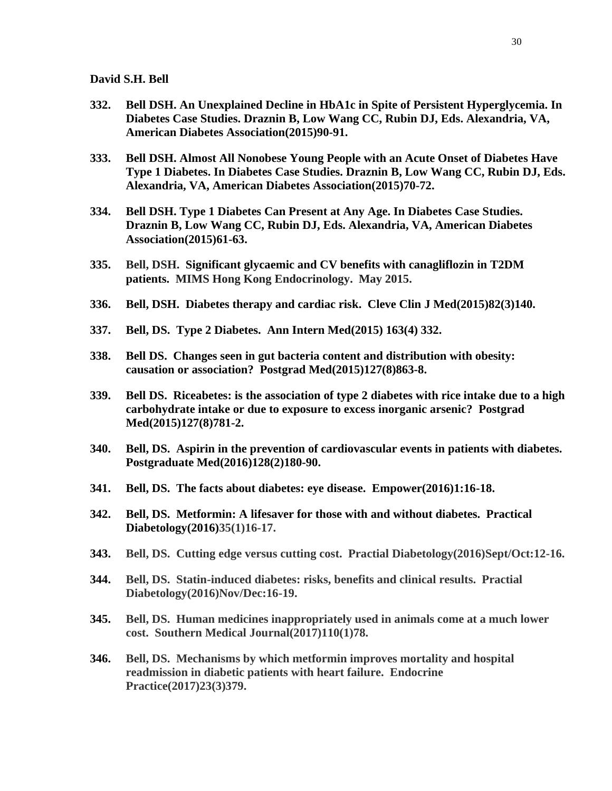- **332. Bell DSH. An Unexplained Decline in HbA1c in Spite of Persistent Hyperglycemia. In Diabetes Case Studies. Draznin B, Low Wang CC, Rubin DJ, Eds. Alexandria, VA, American Diabetes Association(2015)90-91.**
- **333. Bell DSH. Almost All Nonobese Young People with an Acute Onset of Diabetes Have Type 1 Diabetes. In Diabetes Case Studies. Draznin B, Low Wang CC, Rubin DJ, Eds. Alexandria, VA, American Diabetes Association(2015)70-72.**
- **334. Bell DSH. Type 1 Diabetes Can Present at Any Age. In Diabetes Case Studies. Draznin B, Low Wang CC, Rubin DJ, Eds. Alexandria, VA, American Diabetes Association(2015)61-63.**
- **335. Bell, DSH. Significant glycaemic and CV benefits with canagliflozin in T2DM patients. MIMS Hong Kong Endocrinology. May 2015.**
- **336. Bell, DSH. Diabetes therapy and cardiac risk. Cleve Clin J Med(2015)82(3)140.**
- **337. Bell, DS. Type 2 Diabetes. Ann Intern Med(2015) 163(4) 332.**
- **338. Bell DS. [Changes seen in gut bacteria content and distribution with obesity:](http://www.ncbi.nlm.nih.gov/pubmed/26474235)  [causation or association?](http://www.ncbi.nlm.nih.gov/pubmed/26474235) Postgrad Med(2015)127(8)863-8.**
- **339. Bell DS. Riceabetes: is the association of type [2 diabetes with rice intake due to a high](http://www.ncbi.nlm.nih.gov/pubmed/26453088)  [carbohydrate intake or due to exposure to excess inorganic arsenic?](http://www.ncbi.nlm.nih.gov/pubmed/26453088) Postgrad Med(2015)127(8)781-2.**
- **340. Bell, DS. Aspirin in the prevention of cardiovascular events in patients with diabetes. Postgraduate Med(2016)128(2)180-90.**
- **341. Bell, DS. The facts about diabetes: eye disease. Empower(2016)1:16-18.**
- **342. Bell, DS. Metformin: A lifesaver for those with and without diabetes. Practical Diabetology(2016)35(1)16-17.**
- **343. Bell, DS. Cutting edge versus cutting cost. Practial Diabetology(2016)Sept/Oct:12-16.**
- **344. Bell, DS. Statin-induced diabetes: risks, benefits and clinical results. Practial Diabetology(2016)Nov/Dec:16-19.**
- **345. Bell, DS. Human medicines inappropriately used in animals come at a much lower cost. Southern Medical Journal(2017)110(1)78.**
- **346. Bell, DS. Mechanisms by which metformin improves mortality and hospital readmission in diabetic patients with heart failure. Endocrine Practice(2017)23(3)379.**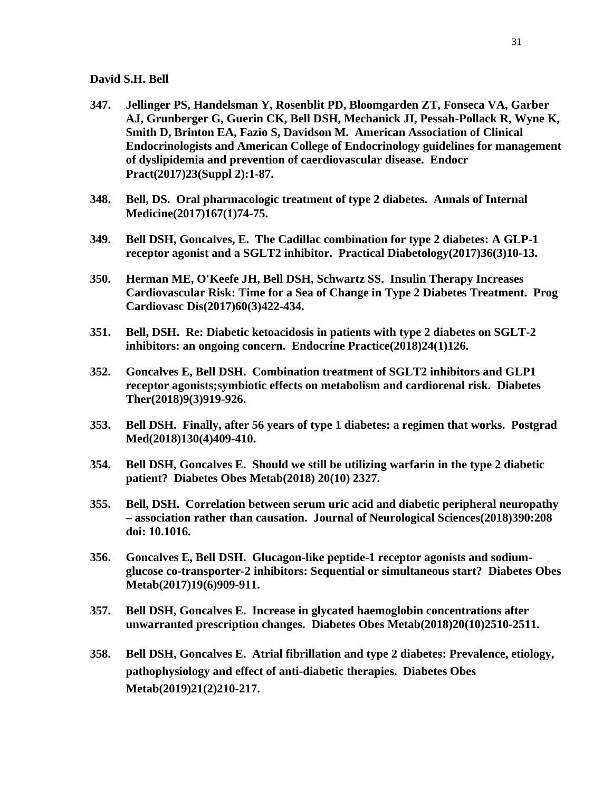- **347. Jellinger PS, Handelsman Y, Rosenblit PD, Bloomgarden ZT, Fonseca VA, Garber AJ, Grunberger G, Guerin CK, Bell DSH, Mechanick JI, Pessah-Pollack R, Wyne K, Smith D, Brinton EA, Fazio S, Davidson M. American Association of Clinical Endocrinologists and American College of Endocrinology guidelines for management of dyslipidemia and prevention of caerdiovascular disease. Endocr Pract(2017)23(Suppl 2):1-87.**
- **348. Bell, DS. Oral pharmacologic treatment of type 2 diabetes. Annals of Internal Medicine(2017)167(1)74-75.**
- **349. Bell DSH, Goncalves, E. The Cadillac combination for type 2 diabetes: A GLP-1 receptor agonist and a SGLT2 inhibitor. Practical Diabetology(2017)36(3)10-13.**
- **350. [Herman ME,](https://www.ncbi.nlm.nih.gov/pubmed/?term=Herman%20ME%5BAuthor%5D&cauthor=true&cauthor_uid=28958751) [O'Keefe JH,](https://www.ncbi.nlm.nih.gov/pubmed/?term=O%27Keefe%20JH%5BAuthor%5D&cauthor=true&cauthor_uid=28958751) [Bell DSH,](https://www.ncbi.nlm.nih.gov/pubmed/?term=Bell%20DSH%5BAuthor%5D&cauthor=true&cauthor_uid=28958751) [Schwartz SS.](https://www.ncbi.nlm.nih.gov/pubmed/?term=Schwartz%20SS%5BAuthor%5D&cauthor=true&cauthor_uid=28958751) Insulin Therapy Increases Cardiovascular Risk: Time for a Sea of Change in Type 2 Diabetes Treatment. [Prog](https://www.ncbi.nlm.nih.gov/pubmed?term=%22Progress+in+cardiovascular+diseases%22%5BJour%5D+AND+2017%5Bpdat%5D+AND+Bell+Dsh%5Bauthor%5D&cmd=detailssearch)  [Cardiovasc Dis\(2](https://www.ncbi.nlm.nih.gov/pubmed?term=%22Progress+in+cardiovascular+diseases%22%5BJour%5D+AND+2017%5Bpdat%5D+AND+Bell+Dsh%5Bauthor%5D&cmd=detailssearch)017)60(3)422-434.**
- **351. Bell, DSH. Re: Diabetic ketoacidosis in patients with type 2 diabetes on SGLT-2 inhibitors: an ongoing concern. Endocrine Practice(2018)24(1)126.**
- **352. Goncalves E, Bell DSH. Combination treatment of SGLT2 inhibitors and GLP1 receptor agonists;symbiotic effects on metabolism and cardiorenal risk. Diabetes Ther(2018)9(3)919-926.**
- **353. Bell DSH. [Finally, after 56 years of type 1 diabetes: a](https://www.ncbi.nlm.nih.gov/pubmed/29718785) regimen that works. Postgrad Med(2018)130(4)409-410.**
- **354. Bell DSH, Goncalves E. [Should we still be utilizing warfarin in the type 2 diabetic](https://www.ncbi.nlm.nih.gov/pubmed/29790252)  [patient?](https://www.ncbi.nlm.nih.gov/pubmed/29790252) Diabetes Obes Metab(2018) 20(10) 2327.**
- **355. Bell, DSH. Correlation between serum uric acid and diabetic peripheral neuropathy – association rather than causation. Journal of Neurological Sciences(2018)390:208 doi: 10.1016.**
- **356. [Goncalves E,](https://www.ncbi.nlm.nih.gov/pubmed/?term=Goncalves%20E%5BAuthor%5D&cauthor=true&cauthor_uid=28176440) [Bell DSH.](https://www.ncbi.nlm.nih.gov/pubmed/?term=Bell%20DSH%5BAuthor%5D&cauthor=true&cauthor_uid=28176440) Glucagon-like peptide-1 receptor agonists and sodiumglucose co-transporter-2 inhibitors: Sequential or simultaneous start? [Diabetes Obes](https://www.ncbi.nlm.nih.gov/pubmed?term=%22Diabetes%2C+obesity+%26+metabolism%22%5BJour%5D+AND+2017%5Bpdat%5D+AND+goncalves+e%5Bauthor%5D&cmd=detailssearch)  [Metab\(2](https://www.ncbi.nlm.nih.gov/pubmed?term=%22Diabetes%2C+obesity+%26+metabolism%22%5BJour%5D+AND+2017%5Bpdat%5D+AND+goncalves+e%5Bauthor%5D&cmd=detailssearch)017)19(6)909-911.**
- **357. [Bell DSH,](https://www.ncbi.nlm.nih.gov/pubmed/?term=Bell%20DSH%5BAuthor%5D&cauthor=true&cauthor_uid=29885012) [Goncalves E.](https://www.ncbi.nlm.nih.gov/pubmed/?term=Goncalves%20E%5BAuthor%5D&cauthor=true&cauthor_uid=29885012) Increase in glycated haemoglobin concentrations after unwarranted prescription changes. [Diabetes Obes Metab\(2](https://www.ncbi.nlm.nih.gov/pubmed?term=%22Diabetes%2C+obesity+%26+metabolism%22%5BJour%5D+AND+2510%5Bpage%5D+AND+2018%5Bpdat%5D&cmd=detailssearch)018)20(10)2510-2511.**
- **358. Bell DSH, Goncalves E. [Atrial fibrillation and type 2 diabetes: Prevalence, etiology,](https://www.ncbi.nlm.nih.gov/pubmed/30144274)  [pathophysiology and effect of anti-diabetic](https://www.ncbi.nlm.nih.gov/pubmed/30144274) therapies. Diabetes Obes Metab(2019)21(2)210-217.**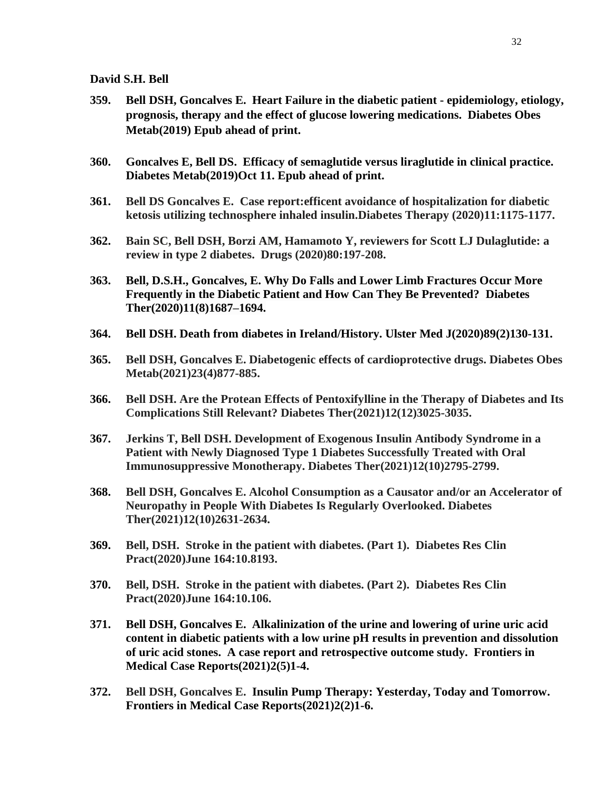- **359. Bell DSH, Goncalves E. Heart Failure in the diabetic patient - epidemiology, etiology, prognosis, therapy and the effect of glucose lowering medications. [Diabetes Obes](https://www.ncbi.nlm.nih.gov/pubmed?term=%22Diabetes%2C+obesity+%26+metabolism%22%5BJour%5D+AND+2019%5Bpdat%5D+AND+Bell+DS%5Bauthor%5D+AND+heart+failure&TransSchema=title&cmd=detailssearch)  [Metab\(2](https://www.ncbi.nlm.nih.gov/pubmed?term=%22Diabetes%2C+obesity+%26+metabolism%22%5BJour%5D+AND+2019%5Bpdat%5D+AND+Bell+DS%5Bauthor%5D+AND+heart+failure&TransSchema=title&cmd=detailssearch)019) Epub ahead of print.**
- **360. [Goncalves E,](https://www.ncbi.nlm.nih.gov/pubmed/?term=Goncalves%20E%5BAuthor%5D&cauthor=true&cauthor_uid=31606525) [Bell DS.](https://www.ncbi.nlm.nih.gov/pubmed/?term=Bell%20DS%5BAuthor%5D&cauthor=true&cauthor_uid=31606525) Efficacy of semaglutide versus liraglutide in clinical practice. [Diabetes Metab\(2](https://www.ncbi.nlm.nih.gov/pubmed?term=%22Diabetes+%26+metabolism%22%5BJour%5D+AND+2019%5Bpdat%5D+AND+goncalves+e%5Bauthor%5D&cmd=detailssearch)019)Oct 11. Epub ahead of print.**
- **361. Bell DS Goncalves E. Case report:efficent avoidance of hospitalization for diabetic ketosis utilizing technosphere inhaled insulin.Diabetes Therapy (2020)11:1175-1177.**
- **362. Bain SC, Bell DSH, Borzi AM, Hamamoto Y, reviewers for Scott LJ Dulaglutide: a review in type 2 diabetes. Drugs (2020)80:197-208.**
- **363. Bell, D.S.H., Goncalves, E. Why Do Falls and Lower Limb Fractures Occur More Frequently in the Diabetic Patient and How Can They Be Prevented? Diabetes Ther(2020)11(8)1687–1694.**
- **364. Bell DSH. Death from diabetes in Ireland/History. Ulster Med J(2020)89(2)130-131.**
- **365. Bell DSH, Goncalves E. Diabetogenic effects of cardioprotective drugs. Diabetes Obes Metab(2021)23(4)877-885.**
- **366. Bell DSH. Are the Protean Effects of Pentoxifylline in the Therapy of Diabetes and Its Complications Still Relevant? Diabetes Ther(2021)12(12)3025-3035.**
- **367. Jerkins T, Bell DSH. Development of Exogenous Insulin Antibody Syndrome in a Patient with Newly Diagnosed Type 1 Diabetes Successfully Treated with Oral Immunosuppressive Monotherapy. Diabetes Ther(2021)12(10)2795-2799.**
- **368. Bell DSH, Goncalves E. Alcohol Consumption as a Causator and/or an Accelerator of Neuropathy in People With Diabetes Is Regularly Overlooked. Diabetes Ther(2021)12(10)2631-2634.**
- **369. Bell, DSH. Stroke in the patient with diabetes. (Part 1). Diabetes Res Clin Pract(2020)June 164:10.8193.**
- **370. Bell, DSH. Stroke in the patient with diabetes. (Part 2). Diabetes Res Clin Pract(2020)June 164:10.106.**
- **371. Bell DSH, Goncalves E. Alkalinization of the urine and lowering of urine uric acid content in diabetic patients with a low urine pH results in prevention and dissolution of uric acid stones. A case report and retrospective outcome study. Frontiers in Medical Case Reports(2021)2(5)1-4.**
- **372. Bell DSH, Goncalves E. Insulin Pump Therapy: Yesterday, Today and Tomorrow. Frontiers in Medical Case Reports(2021)2(2)1-6.**